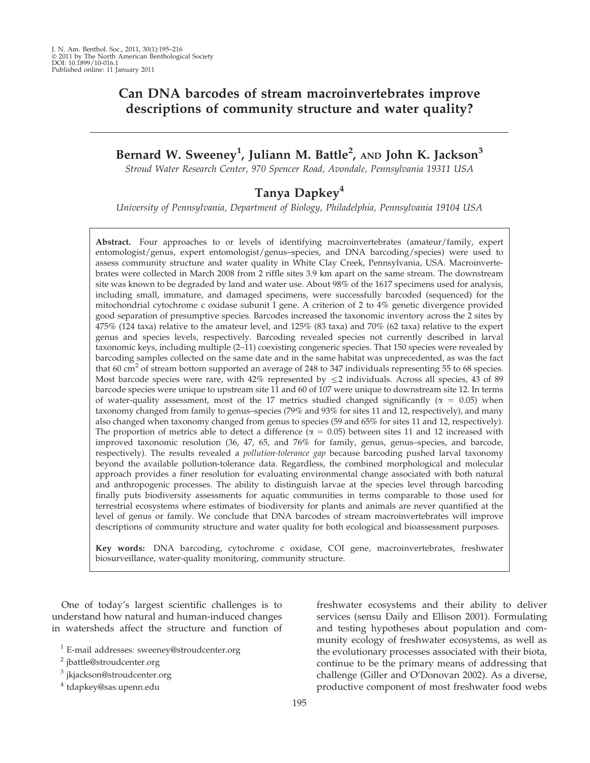# Can DNA barcodes of stream macroinvertebrates improve descriptions of community structure and water quality?

Bernard W. Sweeney<sup>1</sup>, Juliann M. Battle<sup>2</sup>, AND John K. Jackson<sup>3</sup>

Stroud Water Research Center, 970 Spencer Road, Avondale, Pennsylvania 19311 USA

# Tanya Dapkey<sup>4</sup>

University of Pennsylvania, Department of Biology, Philadelphia, Pennsylvania 19104 USA

Abstract. Four approaches to or levels of identifying macroinvertebrates (amateur/family, expert entomologist/genus, expert entomologist/genus–species, and DNA barcoding/species) were used to assess community structure and water quality in White Clay Creek, Pennsylvania, USA. Macroinvertebrates were collected in March 2008 from 2 riffle sites 3.9 km apart on the same stream. The downstream site was known to be degraded by land and water use. About 98% of the 1617 specimens used for analysis, including small, immature, and damaged specimens, were successfully barcoded (sequenced) for the mitochondrial cytochrome c oxidase subunit I gene. A criterion of 2 to 4% genetic divergence provided good separation of presumptive species. Barcodes increased the taxonomic inventory across the 2 sites by 475% (124 taxa) relative to the amateur level, and 125% (83 taxa) and 70% (62 taxa) relative to the expert genus and species levels, respectively. Barcoding revealed species not currently described in larval taxonomic keys, including multiple (2–11) coexisting congeneric species. That 150 species were revealed by barcoding samples collected on the same date and in the same habitat was unprecedented, as was the fact that 60 cm<sup>2</sup> of stream bottom supported an average of 248 to 347 individuals representing 55 to 68 species. Most barcode species were rare, with  $42\%$  represented by  $\leq$  2 individuals. Across all species, 43 of 89 barcode species were unique to upstream site 11 and 60 of 107 were unique to downstream site 12. In terms of water-quality assessment, most of the 17 metrics studied changed significantly ( $\alpha = 0.05$ ) when taxonomy changed from family to genus–species (79% and 93% for sites 11 and 12, respectively), and many also changed when taxonomy changed from genus to species (59 and 65% for sites 11 and 12, respectively). The proportion of metrics able to detect a difference ( $\alpha = 0.05$ ) between sites 11 and 12 increased with improved taxonomic resolution (36, 47, 65, and 76% for family, genus, genus–species, and barcode, respectively). The results revealed a *pollution-tolerance gap* because barcoding pushed larval taxonomy beyond the available pollution-tolerance data. Regardless, the combined morphological and molecular approach provides a finer resolution for evaluating environmental change associated with both natural and anthropogenic processes. The ability to distinguish larvae at the species level through barcoding finally puts biodiversity assessments for aquatic communities in terms comparable to those used for terrestrial ecosystems where estimates of biodiversity for plants and animals are never quantified at the level of genus or family. We conclude that DNA barcodes of stream macroinvertebrates will improve descriptions of community structure and water quality for both ecological and bioassessment purposes.

Key words: DNA barcoding, cytochrome c oxidase, COI gene, macroinvertebrates, freshwater biosurveillance, water-quality monitoring, community structure.

One of today's largest scientific challenges is to understand how natural and human-induced changes in watersheds affect the structure and function of

<sup>1</sup> E-mail addresses: sweeney@stroudcenter.org

 $^{\rm 2}$ jbattle@stroudcenter.org

- <sup>3</sup> jkjackson@stroudcenter.org
- <sup>4</sup> tdapkey@sas.upenn.edu

freshwater ecosystems and their ability to deliver services (sensu Daily and Ellison 2001). Formulating and testing hypotheses about population and community ecology of freshwater ecosystems, as well as the evolutionary processes associated with their biota, continue to be the primary means of addressing that challenge (Giller and O'Donovan 2002). As a diverse, productive component of most freshwater food webs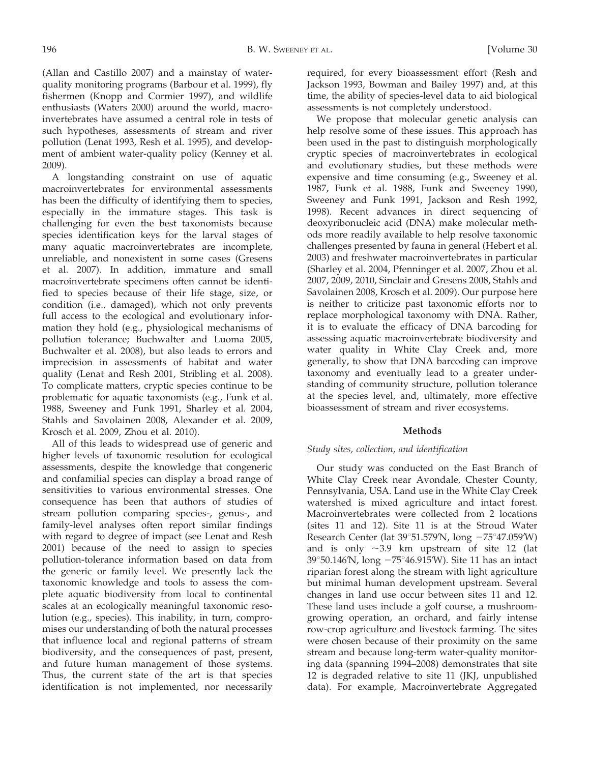(Allan and Castillo 2007) and a mainstay of waterquality monitoring programs (Barbour et al. 1999), fly fishermen (Knopp and Cormier 1997), and wildlife enthusiasts (Waters 2000) around the world, macroinvertebrates have assumed a central role in tests of such hypotheses, assessments of stream and river pollution (Lenat 1993, Resh et al. 1995), and development of ambient water-quality policy (Kenney et al. 2009).

A longstanding constraint on use of aquatic macroinvertebrates for environmental assessments has been the difficulty of identifying them to species, especially in the immature stages. This task is challenging for even the best taxonomists because species identification keys for the larval stages of many aquatic macroinvertebrates are incomplete, unreliable, and nonexistent in some cases (Gresens et al. 2007). In addition, immature and small macroinvertebrate specimens often cannot be identified to species because of their life stage, size, or condition (i.e., damaged), which not only prevents full access to the ecological and evolutionary information they hold (e.g., physiological mechanisms of pollution tolerance; Buchwalter and Luoma 2005, Buchwalter et al. 2008), but also leads to errors and imprecision in assessments of habitat and water quality (Lenat and Resh 2001, Stribling et al. 2008). To complicate matters, cryptic species continue to be problematic for aquatic taxonomists (e.g., Funk et al. 1988, Sweeney and Funk 1991, Sharley et al. 2004, Stahls and Savolainen 2008, Alexander et al. 2009, Krosch et al. 2009, Zhou et al. 2010).

All of this leads to widespread use of generic and higher levels of taxonomic resolution for ecological assessments, despite the knowledge that congeneric and confamilial species can display a broad range of sensitivities to various environmental stresses. One consequence has been that authors of studies of stream pollution comparing species-, genus-, and family-level analyses often report similar findings with regard to degree of impact (see Lenat and Resh 2001) because of the need to assign to species pollution-tolerance information based on data from the generic or family level. We presently lack the taxonomic knowledge and tools to assess the complete aquatic biodiversity from local to continental scales at an ecologically meaningful taxonomic resolution (e.g., species). This inability, in turn, compromises our understanding of both the natural processes that influence local and regional patterns of stream biodiversity, and the consequences of past, present, and future human management of those systems. Thus, the current state of the art is that species identification is not implemented, nor necessarily

required, for every bioassessment effort (Resh and Jackson 1993, Bowman and Bailey 1997) and, at this time, the ability of species-level data to aid biological assessments is not completely understood.

We propose that molecular genetic analysis can help resolve some of these issues. This approach has been used in the past to distinguish morphologically cryptic species of macroinvertebrates in ecological and evolutionary studies, but these methods were expensive and time consuming (e.g., Sweeney et al. 1987, Funk et al. 1988, Funk and Sweeney 1990, Sweeney and Funk 1991, Jackson and Resh 1992, 1998). Recent advances in direct sequencing of deoxyribonucleic acid (DNA) make molecular methods more readily available to help resolve taxonomic challenges presented by fauna in general (Hebert et al. 2003) and freshwater macroinvertebrates in particular (Sharley et al. 2004, Pfenninger et al. 2007, Zhou et al. 2007, 2009, 2010, Sinclair and Gresens 2008, Stahls and Savolainen 2008, Krosch et al. 2009). Our purpose here is neither to criticize past taxonomic efforts nor to replace morphological taxonomy with DNA. Rather, it is to evaluate the efficacy of DNA barcoding for assessing aquatic macroinvertebrate biodiversity and water quality in White Clay Creek and, more generally, to show that DNA barcoding can improve taxonomy and eventually lead to a greater understanding of community structure, pollution tolerance at the species level, and, ultimately, more effective bioassessment of stream and river ecosystems.

## Methods

# Study sites, collection, and identification

Our study was conducted on the East Branch of White Clay Creek near Avondale, Chester County, Pennsylvania, USA. Land use in the White Clay Creek watershed is mixed agriculture and intact forest. Macroinvertebrates were collected from 2 locations (sites 11 and 12). Site 11 is at the Stroud Water Research Center (lat  $39^{\circ}51.579^{\prime}N$ , long  $-75^{\circ}47.059^{\prime}W$ ) and is only  $\sim$ 3.9 km upstream of site 12 (lat 39°50.146'N, long -75°46.915'W). Site 11 has an intact riparian forest along the stream with light agriculture but minimal human development upstream. Several changes in land use occur between sites 11 and 12. These land uses include a golf course, a mushroomgrowing operation, an orchard, and fairly intense row-crop agriculture and livestock farming. The sites were chosen because of their proximity on the same stream and because long-term water-quality monitoring data (spanning 1994–2008) demonstrates that site 12 is degraded relative to site 11 (JKJ, unpublished data). For example, Macroinvertebrate Aggregated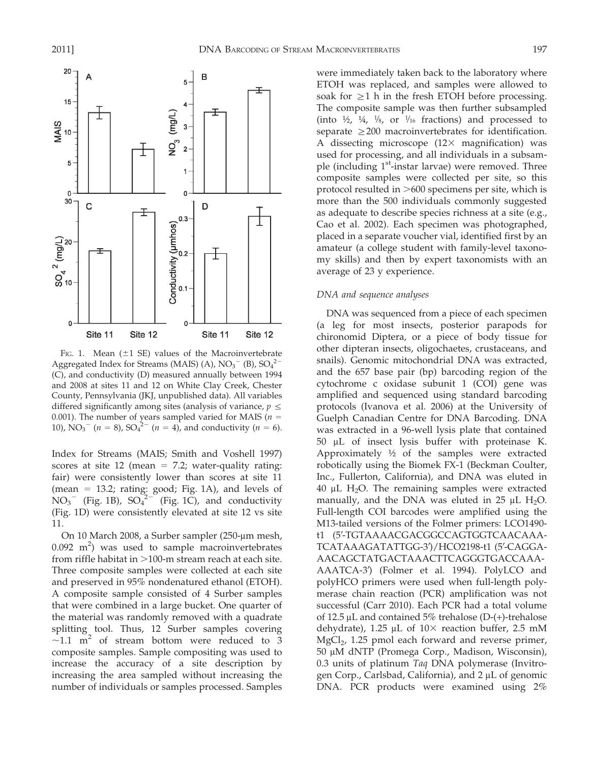

FIG. 1. Mean  $(\pm 1$  SE) values of the Macroinvertebrate Aggregated Index for Streams (MAIS) (A),  $NO<sub>3</sub><sup>-</sup>$  (B),  $SO<sub>4</sub><sup>2-</sup>$ (C), and conductivity (D) measured annually between 1994 and 2008 at sites 11 and 12 on White Clay Creek, Chester County, Pennsylvania (JKJ, unpublished data). All variables differed significantly among sites (analysis of variance,  $p \leq$ 0.001). The number of years sampled varied for MAIS ( $n =$ 10),  $NO_3^-$  ( $n = 8$ ),  $SO_4^{2-}$  ( $n = 4$ ), and conductivity ( $n = 6$ ).

Index for Streams (MAIS; Smith and Voshell 1997) scores at site 12 (mean  $= 7.2$ ; water-quality rating: fair) were consistently lower than scores at site 11 (mean  $= 13.2$ ; rating: good; Fig. 1A), and levels of  $NO<sub>3</sub><sup>-</sup>$  (Fig. 1B),  $SO<sub>4</sub><sup>2-</sup>$  (Fig. 1C), and conductivity (Fig. 1D) were consistently elevated at site 12 vs site 11.

On 10 March 2008, a Surber sampler (250-µm mesh,  $0.092 \text{ m}^2$ ) was used to sample macroinvertebrates from riffle habitat in  $>100$ -m stream reach at each site. Three composite samples were collected at each site and preserved in 95% nondenatured ethanol (ETOH). A composite sample consisted of 4 Surber samples that were combined in a large bucket. One quarter of the material was randomly removed with a quadrate splitting tool. Thus, 12 Surber samples covering  $\sim$ 1.1 m<sup>2</sup> of stream bottom were reduced to 3 composite samples. Sample compositing was used to increase the accuracy of a site description by increasing the area sampled without increasing the number of individuals or samples processed. Samples were immediately taken back to the laboratory where ETOH was replaced, and samples were allowed to soak for  $\geq$ 1 h in the fresh ETOH before processing. The composite sample was then further subsampled (into  $\frac{1}{2}$ ,  $\frac{1}{4}$ ,  $\frac{1}{8}$ , or  $\frac{1}{16}$  fractions) and processed to separate  $\geq$ 200 macroinvertebrates for identification. A dissecting microscope  $(12 \times$  magnification) was used for processing, and all individuals in a subsample (including  $1<sup>st</sup>$ -instar larvae) were removed. Three composite samples were collected per site, so this protocol resulted in  $>600$  specimens per site, which is more than the 500 individuals commonly suggested as adequate to describe species richness at a site (e.g., Cao et al. 2002). Each specimen was photographed, placed in a separate voucher vial, identified first by an amateur (a college student with family-level taxonomy skills) and then by expert taxonomists with an average of 23 y experience.

### DNA and sequence analyses

DNA was sequenced from a piece of each specimen (a leg for most insects, posterior parapods for chironomid Diptera, or a piece of body tissue for other dipteran insects, oligochaetes, crustaceans, and snails). Genomic mitochondrial DNA was extracted, and the 657 base pair (bp) barcoding region of the cytochrome c oxidase subunit 1 (COI) gene was amplified and sequenced using standard barcoding protocols (Ivanova et al. 2006) at the University of Guelph Canadian Centre for DNA Barcoding. DNA was extracted in a 96-well lysis plate that contained 50 mL of insect lysis buffer with proteinase K. Approximately ½ of the samples were extracted robotically using the Biomek FX-1 (Beckman Coulter, Inc., Fullerton, California), and DNA was eluted in  $40 \mu L$  H<sub>2</sub>O. The remaining samples were extracted manually, and the DNA was eluted in  $25 \mu L H_2O$ . Full-length COI barcodes were amplified using the M13-tailed versions of the Folmer primers: LCO1490 t1 (5'-TGTAAAACGACGGCCAGTGGTCAACAAA-TCATAAAGATATTGG-3')/HCO2198-t1 (5'-CAGGA-AACAGCTATGACTAAACTTCAGGGTGACCAAA-AAATCA-3') (Folmer et al. 1994). PolyLCO and polyHCO primers were used when full-length polymerase chain reaction (PCR) amplification was not successful (Carr 2010). Each PCR had a total volume of 12.5  $\mu$ L and contained 5% trehalose (D-(+)-trehalose dehydrate), 1.25  $\mu$ L of 10× reaction buffer, 2.5 mM MgCl<sub>2</sub>, 1.25 pmol each forward and reverse primer, 50 mM dNTP (Promega Corp., Madison, Wisconsin), 0.3 units of platinum Taq DNA polymerase (Invitrogen Corp., Carlsbad, California), and 2 µL of genomic DNA. PCR products were examined using 2%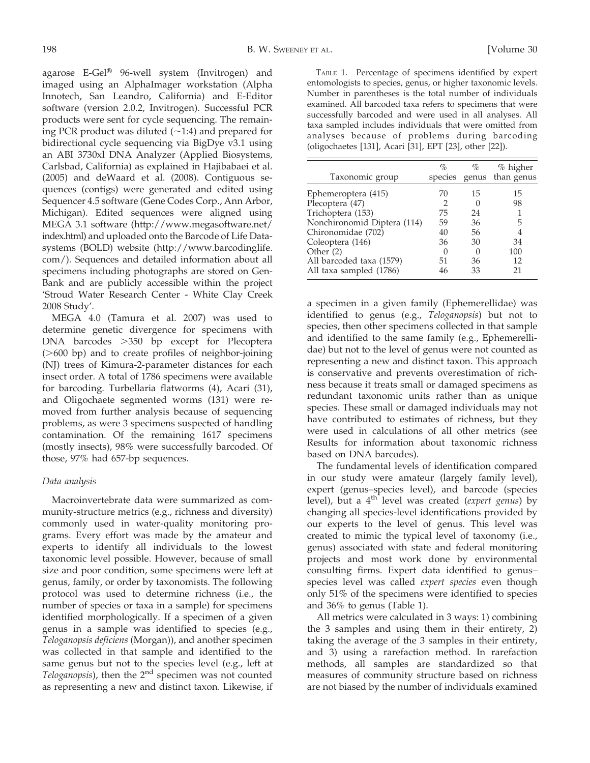agarose E-Gel® 96-well system (Invitrogen) and imaged using an AlphaImager workstation (Alpha Innotech, San Leandro, California) and E-Editor software (version 2.0.2, Invitrogen). Successful PCR products were sent for cycle sequencing. The remaining PCR product was diluted  $(-1:4)$  and prepared for bidirectional cycle sequencing via BigDye v3.1 using an ABI 3730xl DNA Analyzer (Applied Biosystems, Carlsbad, California) as explained in Hajibabaei et al. (2005) and deWaard et al. (2008). Contiguous sequences (contigs) were generated and edited using Sequencer 4.5 software (Gene Codes Corp., Ann Arbor, Michigan). Edited sequences were aligned using MEGA 3.1 software (http://www.megasoftware.net/ index.html) and uploaded onto the Barcode of Life Datasystems (BOLD) website (http://www.barcodinglife. com/). Sequences and detailed information about all specimens including photographs are stored on Gen-Bank and are publicly accessible within the project 'Stroud Water Research Center - White Clay Creek 2008 Study'.

MEGA 4.0 (Tamura et al. 2007) was used to determine genetic divergence for specimens with DNA barcodes >350 bp except for Plecoptera  $($ >600 bp) and to create profiles of neighbor-joining (NJ) trees of Kimura-2-parameter distances for each insect order. A total of 1786 specimens were available for barcoding. Turbellaria flatworms (4), Acari (31), and Oligochaete segmented worms (131) were removed from further analysis because of sequencing problems, as were 3 specimens suspected of handling contamination. Of the remaining 1617 specimens (mostly insects), 98% were successfully barcoded. Of those, 97% had 657-bp sequences.

#### Data analysis

Macroinvertebrate data were summarized as community-structure metrics (e.g., richness and diversity) commonly used in water-quality monitoring programs. Every effort was made by the amateur and experts to identify all individuals to the lowest taxonomic level possible. However, because of small size and poor condition, some specimens were left at genus, family, or order by taxonomists. The following protocol was used to determine richness (i.e., the number of species or taxa in a sample) for specimens identified morphologically. If a specimen of a given genus in a sample was identified to species (e.g., Teloganopsis deficiens (Morgan)), and another specimen was collected in that sample and identified to the same genus but not to the species level (e.g., left at Teloganopsis), then the 2<sup>nd</sup> specimen was not counted as representing a new and distinct taxon. Likewise, if

TABLE 1. Percentage of specimens identified by expert entomologists to species, genus, or higher taxonomic levels. Number in parentheses is the total number of individuals examined. All barcoded taxa refers to specimens that were successfully barcoded and were used in all analyses. All taxa sampled includes individuals that were omitted from analyses because of problems during barcoding (oligochaetes [131], Acari [31], EPT [23], other [22]).

| Taxonomic group             | $\%$<br>species genus | $\%$ | $%$ higher<br>than genus |
|-----------------------------|-----------------------|------|--------------------------|
| Ephemeroptera (415)         | 70                    | 15   | 15                       |
| Plecoptera (47)             | 2                     |      | 98                       |
| Trichoptera (153)           | 75                    | 24   |                          |
| Nonchironomid Diptera (114) | 59                    | 36   | 5                        |
| Chironomidae (702)          | 40                    | 56   |                          |
| Coleoptera (146)            | 36                    | 30   | 34                       |
| Other (2)                   | $\Box$                |      | 100                      |
| All barcoded taxa (1579)    | 51                    | 36   | 12                       |
| All taxa sampled (1786)     | 46                    | 33   | 21                       |
|                             |                       |      |                          |

a specimen in a given family (Ephemerellidae) was identified to genus (e.g., Teloganopsis) but not to species, then other specimens collected in that sample and identified to the same family (e.g., Ephemerellidae) but not to the level of genus were not counted as representing a new and distinct taxon. This approach is conservative and prevents overestimation of richness because it treats small or damaged specimens as redundant taxonomic units rather than as unique species. These small or damaged individuals may not have contributed to estimates of richness, but they were used in calculations of all other metrics (see Results for information about taxonomic richness based on DNA barcodes).

The fundamental levels of identification compared in our study were amateur (largely family level), expert (genus–species level), and barcode (species level), but a  $4<sup>th</sup>$  level was created (expert genus) by changing all species-level identifications provided by our experts to the level of genus. This level was created to mimic the typical level of taxonomy (i.e., genus) associated with state and federal monitoring projects and most work done by environmental consulting firms. Expert data identified to genus– species level was called expert species even though only 51% of the specimens were identified to species and 36% to genus (Table 1).

All metrics were calculated in 3 ways: 1) combining the 3 samples and using them in their entirety, 2) taking the average of the 3 samples in their entirety, and 3) using a rarefaction method. In rarefaction methods, all samples are standardized so that measures of community structure based on richness are not biased by the number of individuals examined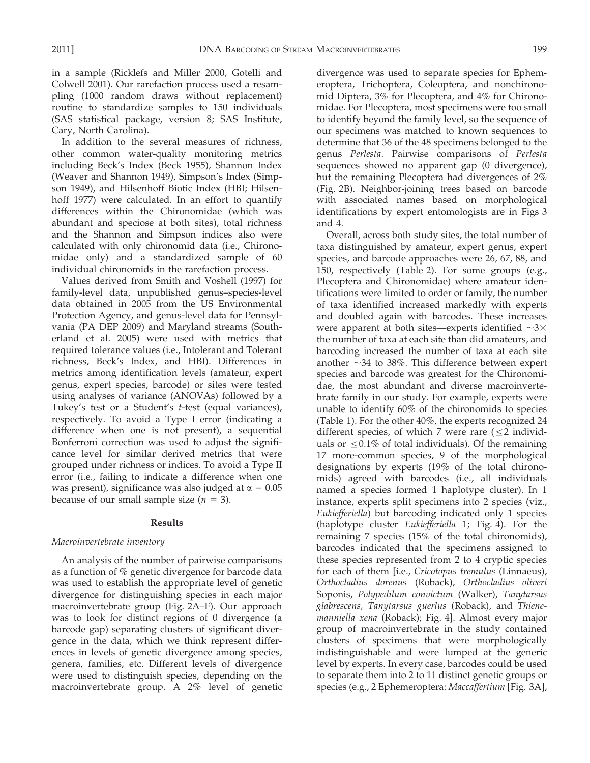in a sample (Ricklefs and Miller 2000, Gotelli and Colwell 2001). Our rarefaction process used a resampling (1000 random draws without replacement) routine to standardize samples to 150 individuals (SAS statistical package, version 8; SAS Institute, Cary, North Carolina).

In addition to the several measures of richness, other common water-quality monitoring metrics including Beck's Index (Beck 1955), Shannon Index (Weaver and Shannon 1949), Simpson's Index (Simpson 1949), and Hilsenhoff Biotic Index (HBI; Hilsenhoff 1977) were calculated. In an effort to quantify differences within the Chironomidae (which was abundant and speciose at both sites), total richness and the Shannon and Simpson indices also were calculated with only chironomid data (i.e., Chironomidae only) and a standardized sample of 60 individual chironomids in the rarefaction process.

Values derived from Smith and Voshell (1997) for family-level data, unpublished genus–species-level data obtained in 2005 from the US Environmental Protection Agency, and genus-level data for Pennsylvania (PA DEP 2009) and Maryland streams (Southerland et al. 2005) were used with metrics that required tolerance values (i.e., Intolerant and Tolerant richness, Beck's Index, and HBI). Differences in metrics among identification levels (amateur, expert genus, expert species, barcode) or sites were tested using analyses of variance (ANOVAs) followed by a Tukey's test or a Student's t-test (equal variances), respectively. To avoid a Type I error (indicating a difference when one is not present), a sequential Bonferroni correction was used to adjust the significance level for similar derived metrics that were grouped under richness or indices. To avoid a Type II error (i.e., failing to indicate a difference when one was present), significance was also judged at  $\alpha = 0.05$ because of our small sample size ( $n = 3$ ).

#### Results

## Macroinvertebrate inventory

An analysis of the number of pairwise comparisons as a function of % genetic divergence for barcode data was used to establish the appropriate level of genetic divergence for distinguishing species in each major macroinvertebrate group (Fig. 2A–F). Our approach was to look for distinct regions of 0 divergence (a barcode gap) separating clusters of significant divergence in the data, which we think represent differences in levels of genetic divergence among species, genera, families, etc. Different levels of divergence were used to distinguish species, depending on the macroinvertebrate group. A 2% level of genetic divergence was used to separate species for Ephemeroptera, Trichoptera, Coleoptera, and nonchironomid Diptera, 3% for Plecoptera, and 4% for Chironomidae. For Plecoptera, most specimens were too small to identify beyond the family level, so the sequence of our specimens was matched to known sequences to determine that 36 of the 48 specimens belonged to the genus Perlesta. Pairwise comparisons of Perlesta sequences showed no apparent gap (0 divergence), but the remaining Plecoptera had divergences of 2% (Fig. 2B). Neighbor-joining trees based on barcode with associated names based on morphological identifications by expert entomologists are in Figs 3 and 4.

Overall, across both study sites, the total number of taxa distinguished by amateur, expert genus, expert species, and barcode approaches were 26, 67, 88, and 150, respectively (Table 2). For some groups (e.g., Plecoptera and Chironomidae) where amateur identifications were limited to order or family, the number of taxa identified increased markedly with experts and doubled again with barcodes. These increases were apparent at both sites—experts identified  $\sim$ 3 $\times$ the number of taxa at each site than did amateurs, and barcoding increased the number of taxa at each site another  $\sim$ 34 to 38%. This difference between expert species and barcode was greatest for the Chironomidae, the most abundant and diverse macroinvertebrate family in our study. For example, experts were unable to identify 60% of the chironomids to species (Table 1). For the other 40%, the experts recognized 24 different species, of which 7 were rare  $(\leq 2$  individuals or  $\leq 0.1\%$  of total individuals). Of the remaining 17 more-common species, 9 of the morphological designations by experts (19% of the total chironomids) agreed with barcodes (i.e., all individuals named a species formed 1 haplotype cluster). In 1 instance, experts split specimens into 2 species (viz., Eukiefferiella) but barcoding indicated only 1 species (haplotype cluster Eukiefferiella 1; Fig. 4). For the remaining 7 species (15% of the total chironomids), barcodes indicated that the specimens assigned to these species represented from 2 to 4 cryptic species for each of them [i.e., Cricotopus tremulus (Linnaeus), Orthocladius dorenus (Roback), Orthocladius oliveri Soponis, Polypedilum convictum (Walker), Tanytarsus glabrescens, Tanytarsus guerlus (Roback), and Thienemanniella xena (Roback); Fig. 4]. Almost every major group of macroinvertebrate in the study contained clusters of specimens that were morphologically indistinguishable and were lumped at the generic level by experts. In every case, barcodes could be used to separate them into 2 to 11 distinct genetic groups or species (e.g., 2 Ephemeroptera: Maccaffertium [Fig. 3A],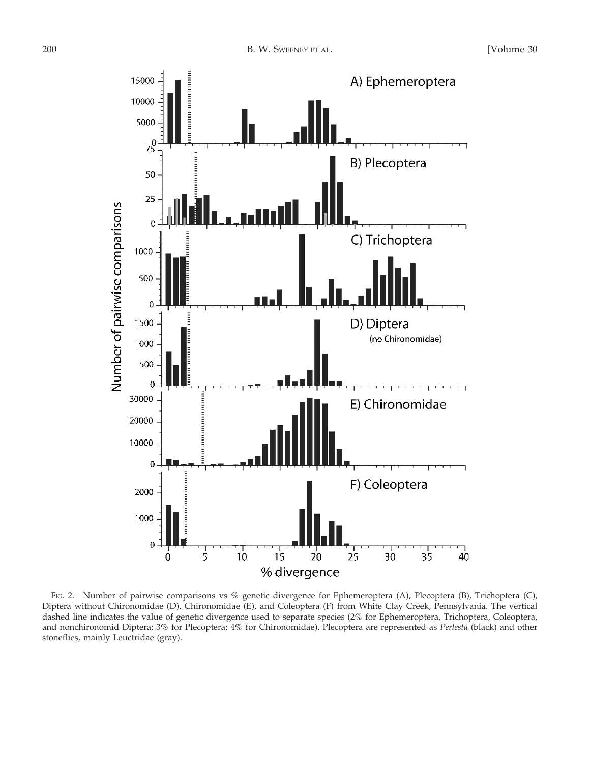

FIG. 2. Number of pairwise comparisons vs % genetic divergence for Ephemeroptera (A), Plecoptera (B), Trichoptera (C), Diptera without Chironomidae (D), Chironomidae (E), and Coleoptera (F) from White Clay Creek, Pennsylvania. The vertical dashed line indicates the value of genetic divergence used to separate species (2% for Ephemeroptera, Trichoptera, Coleoptera, and nonchironomid Diptera; 3% for Plecoptera; 4% for Chironomidae). Plecoptera are represented as Perlesta (black) and other stoneflies, mainly Leuctridae (gray).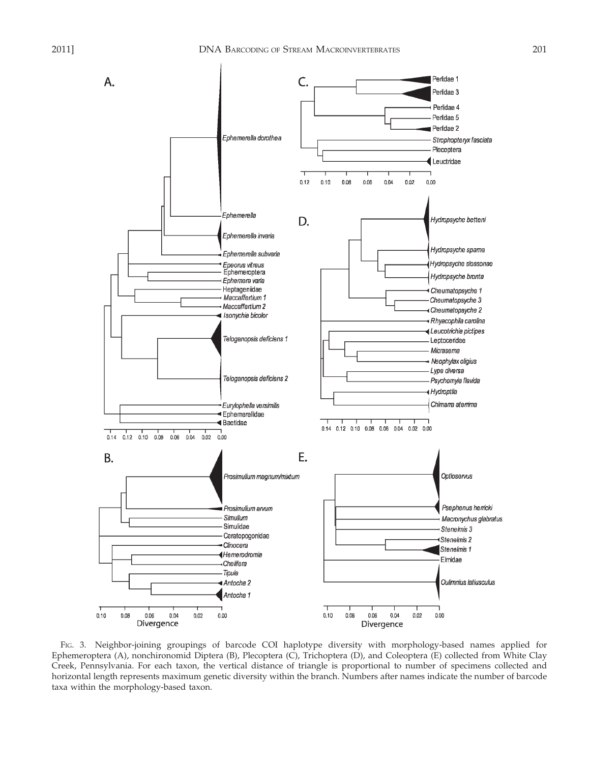

FIG. 3. Neighbor-joining groupings of barcode COI haplotype diversity with morphology-based names applied for Ephemeroptera (A), nonchironomid Diptera (B), Plecoptera (C), Trichoptera (D), and Coleoptera (E) collected from White Clay Creek, Pennsylvania. For each taxon, the vertical distance of triangle is proportional to number of specimens collected and horizontal length represents maximum genetic diversity within the branch. Numbers after names indicate the number of barcode taxa within the morphology-based taxon.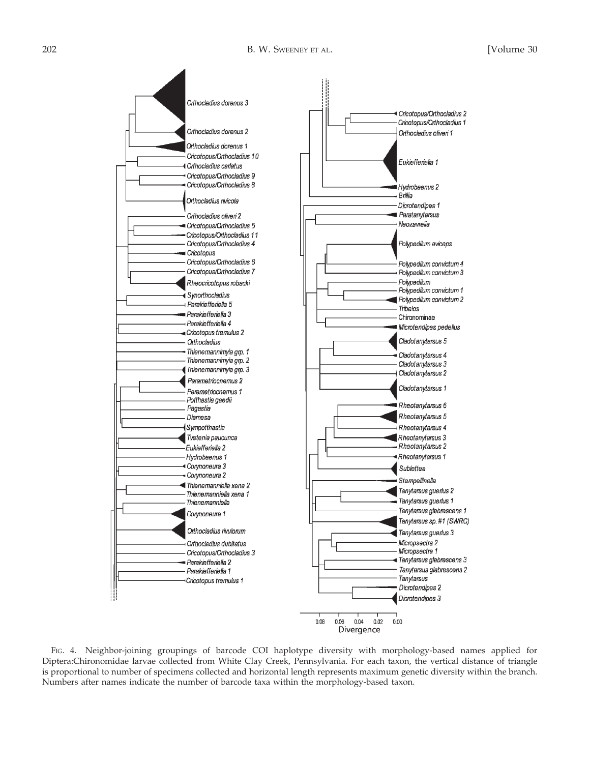

FIG. 4. Neighbor-joining groupings of barcode COI haplotype diversity with morphology-based names applied for Diptera:Chironomidae larvae collected from White Clay Creek, Pennsylvania. For each taxon, the vertical distance of triangle is proportional to number of specimens collected and horizontal length represents maximum genetic diversity within the branch. Numbers after names indicate the number of barcode taxa within the morphology-based taxon.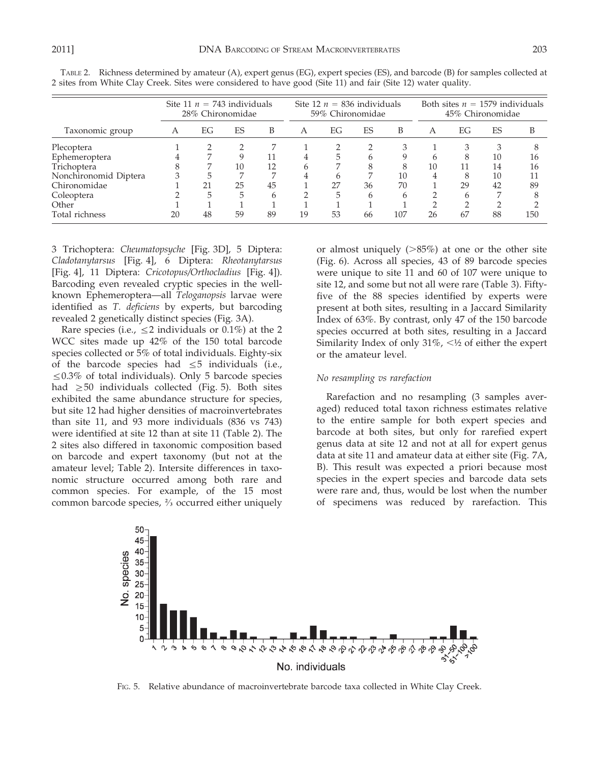|                       | Site 11 $n = 743$ individuals<br>28% Chironomidae |    |    |    |    | Site 12 $n = 836$ individuals<br>59% Chironomidae |    |     |    | Both sites $n = 1579$ individuals<br>45% Chironomidae |    |     |  |
|-----------------------|---------------------------------------------------|----|----|----|----|---------------------------------------------------|----|-----|----|-------------------------------------------------------|----|-----|--|
| Taxonomic group       | А                                                 | EG | ES | B  | А  | EG                                                | ES | B   | А  | EG                                                    | ES | B   |  |
| Plecoptera            |                                                   |    |    |    |    |                                                   |    |     |    |                                                       |    |     |  |
| Ephemeroptera         |                                                   |    | Q  |    |    | h                                                 | h  |     |    |                                                       | 10 | 16  |  |
| Trichoptera           |                                                   |    | 10 | 12 | h  |                                                   |    |     | 10 |                                                       | 14 | 16  |  |
| Nonchironomid Diptera |                                                   |    |    |    |    | h                                                 |    | 10  |    | 8                                                     | 10 |     |  |
| Chironomidae          |                                                   | 21 | 25 | 45 |    | 27                                                | 36 | 70  |    | 29                                                    | 42 | 89  |  |
| Coleoptera            |                                                   | 5  |    | 6  |    |                                                   | h  |     | ◠  |                                                       |    |     |  |
| Other                 |                                                   |    |    |    |    |                                                   |    |     |    |                                                       |    |     |  |
| Total richness        | 20                                                | 48 | 59 | 89 | 19 | 53                                                | 66 | 107 | 26 | 67                                                    | 88 | 150 |  |

TABLE 2. Richness determined by amateur (A), expert genus (EG), expert species (ES), and barcode (B) for samples collected at 2 sites from White Clay Creek. Sites were considered to have good (Site 11) and fair (Site 12) water quality.

3 Trichoptera: Cheumatopsyche [Fig. 3D], 5 Diptera: Cladotanytarsus [Fig. 4], 6 Diptera: Rheotanytarsus [Fig. 4], 11 Diptera: Cricotopus/Orthocladius [Fig. 4]). Barcoding even revealed cryptic species in the wellknown Ephemeroptera—all Teloganopsis larvae were identified as T. deficiens by experts, but barcoding revealed 2 genetically distinct species (Fig. 3A).

Rare species (i.e.,  $\leq$ 2 individuals or 0.1%) at the 2 WCC sites made up 42% of the 150 total barcode species collected or 5% of total individuals. Eighty-six of the barcode species had  $\leq$ 5 individuals (i.e.,  $\leq$ 0.3% of total individuals). Only 5 barcode species had  $\geq$  50 individuals collected (Fig. 5). Both sites exhibited the same abundance structure for species, but site 12 had higher densities of macroinvertebrates than site 11, and 93 more individuals (836 vs 743) were identified at site 12 than at site 11 (Table 2). The 2 sites also differed in taxonomic composition based on barcode and expert taxonomy (but not at the amateur level; Table 2). Intersite differences in taxonomic structure occurred among both rare and common species. For example, of the 15 most common barcode species,  $\frac{2}{3}$  occurred either uniquely or almost uniquely  $(>\!\!85\%)$  at one or the other site (Fig. 6). Across all species, 43 of 89 barcode species were unique to site 11 and 60 of 107 were unique to site 12, and some but not all were rare (Table 3). Fiftyfive of the 88 species identified by experts were present at both sites, resulting in a Jaccard Similarity Index of 63%. By contrast, only 47 of the 150 barcode species occurred at both sites, resulting in a Jaccard Similarity Index of only  $31\%$ ,  $\lt\frac{1}{2}$  of either the expert or the amateur level.

#### No resampling vs rarefaction

Rarefaction and no resampling (3 samples averaged) reduced total taxon richness estimates relative to the entire sample for both expert species and barcode at both sites, but only for rarefied expert genus data at site 12 and not at all for expert genus data at site 11 and amateur data at either site (Fig. 7A, B). This result was expected a priori because most species in the expert species and barcode data sets were rare and, thus, would be lost when the number of specimens was reduced by rarefaction. This



FIG. 5. Relative abundance of macroinvertebrate barcode taxa collected in White Clay Creek.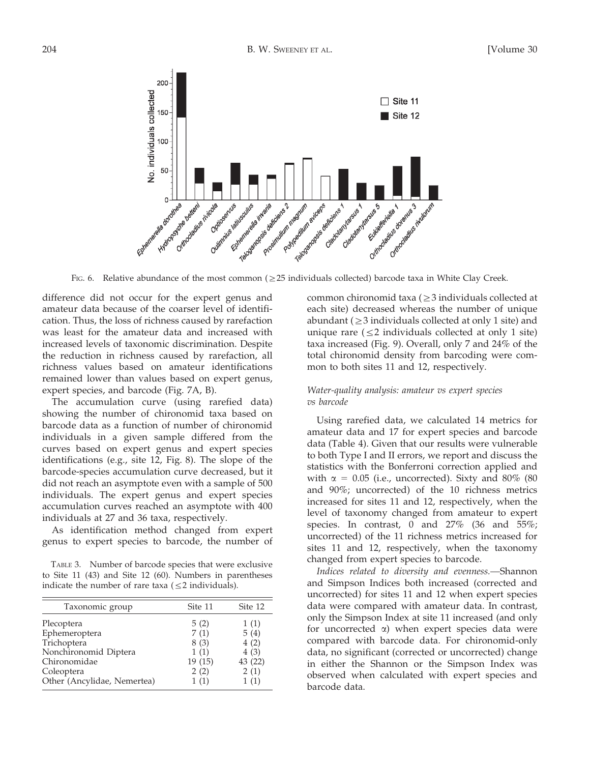

FIG. 6. Relative abundance of the most common ( $\geq$ 25 individuals collected) barcode taxa in White Clay Creek.

difference did not occur for the expert genus and amateur data because of the coarser level of identification. Thus, the loss of richness caused by rarefaction was least for the amateur data and increased with increased levels of taxonomic discrimination. Despite the reduction in richness caused by rarefaction, all richness values based on amateur identifications remained lower than values based on expert genus, expert species, and barcode (Fig. 7A, B).

The accumulation curve (using rarefied data) showing the number of chironomid taxa based on barcode data as a function of number of chironomid individuals in a given sample differed from the curves based on expert genus and expert species identifications (e.g., site 12, Fig. 8). The slope of the barcode-species accumulation curve decreased, but it did not reach an asymptote even with a sample of 500 individuals. The expert genus and expert species accumulation curves reached an asymptote with 400 individuals at 27 and 36 taxa, respectively.

As identification method changed from expert genus to expert species to barcode, the number of

TABLE 3. Number of barcode species that were exclusive to Site 11 (43) and Site 12 (60). Numbers in parentheses indicate the number of rare taxa ( $\leq$ 2 individuals).

| Taxonomic group                                                                                                                  | Site 11                                                | Site 12                                                 |
|----------------------------------------------------------------------------------------------------------------------------------|--------------------------------------------------------|---------------------------------------------------------|
| Plecoptera<br>Ephemeroptera<br>Trichoptera<br>Nonchironomid Diptera<br>Chironomidae<br>Coleoptera<br>Other (Ancylidae, Nemertea) | 5(2)<br>7(1)<br>8(3)<br>1(1)<br>19(15)<br>2(2)<br>1(1) | 1(1)<br>5(4)<br>4(2)<br>4(3)<br>43 (22)<br>2(1)<br>1(1) |
|                                                                                                                                  |                                                        |                                                         |

common chironomid taxa ( $\geq$ 3 individuals collected at each site) decreased whereas the number of unique abundant ( $\geq$ 3 individuals collected at only 1 site) and unique rare ( $\leq$ 2 individuals collected at only 1 site) taxa increased (Fig. 9). Overall, only 7 and 24% of the total chironomid density from barcoding were common to both sites 11 and 12, respectively.

# Water-quality analysis: amateur vs expert species vs barcode

Using rarefied data, we calculated 14 metrics for amateur data and 17 for expert species and barcode data (Table 4). Given that our results were vulnerable to both Type I and II errors, we report and discuss the statistics with the Bonferroni correction applied and with  $\alpha = 0.05$  (i.e., uncorrected). Sixty and 80% (80 and 90%; uncorrected) of the 10 richness metrics increased for sites 11 and 12, respectively, when the level of taxonomy changed from amateur to expert species. In contrast, 0 and 27% (36 and 55%; uncorrected) of the 11 richness metrics increased for sites 11 and 12, respectively, when the taxonomy changed from expert species to barcode.

Indices related to diversity and evenness.—Shannon and Simpson Indices both increased (corrected and uncorrected) for sites 11 and 12 when expert species data were compared with amateur data. In contrast, only the Simpson Index at site 11 increased (and only for uncorrected  $\alpha$ ) when expert species data were compared with barcode data. For chironomid-only data, no significant (corrected or uncorrected) change in either the Shannon or the Simpson Index was observed when calculated with expert species and barcode data.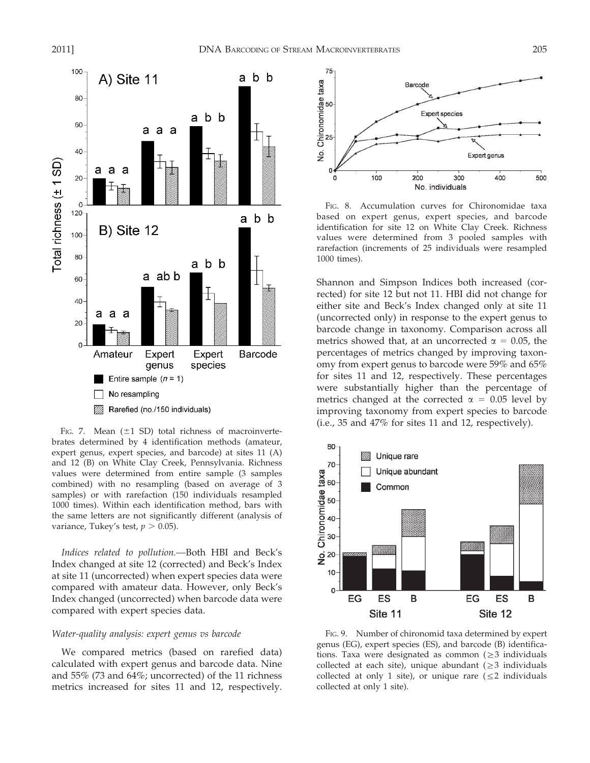

FIG. 7. Mean  $(\pm 1$  SD) total richness of macroinvertebrates determined by 4 identification methods (amateur, expert genus, expert species, and barcode) at sites 11 (A) and 12 (B) on White Clay Creek, Pennsylvania. Richness values were determined from entire sample (3 samples combined) with no resampling (based on average of 3 samples) or with rarefaction (150 individuals resampled 1000 times). Within each identification method, bars with the same letters are not significantly different (analysis of variance, Tukey's test,  $p > 0.05$ ).

Indices related to pollution.—Both HBI and Beck's Index changed at site 12 (corrected) and Beck's Index at site 11 (uncorrected) when expert species data were compared with amateur data. However, only Beck's Index changed (uncorrected) when barcode data were compared with expert species data.

#### Water-quality analysis: expert genus vs barcode

We compared metrics (based on rarefied data) calculated with expert genus and barcode data. Nine and 55% (73 and 64%; uncorrected) of the 11 richness metrics increased for sites 11 and 12, respectively.



FIG. 8. Accumulation curves for Chironomidae taxa based on expert genus, expert species, and barcode identification for site 12 on White Clay Creek. Richness values were determined from 3 pooled samples with rarefaction (increments of 25 individuals were resampled 1000 times).

Shannon and Simpson Indices both increased (corrected) for site 12 but not 11. HBI did not change for either site and Beck's Index changed only at site 11 (uncorrected only) in response to the expert genus to barcode change in taxonomy. Comparison across all metrics showed that, at an uncorrected  $\alpha = 0.05$ , the percentages of metrics changed by improving taxonomy from expert genus to barcode were 59% and 65% for sites 11 and 12, respectively. These percentages were substantially higher than the percentage of metrics changed at the corrected  $\alpha = 0.05$  level by improving taxonomy from expert species to barcode (i.e., 35 and 47% for sites 11 and 12, respectively).



FIG. 9. Number of chironomid taxa determined by expert genus (EG), expert species (ES), and barcode (B) identifications. Taxa were designated as common  $(\geq 3$  individuals collected at each site), unique abundant ( $\geq$ 3 individuals collected at only 1 site), or unique rare  $(\leq 2$  individuals collected at only 1 site).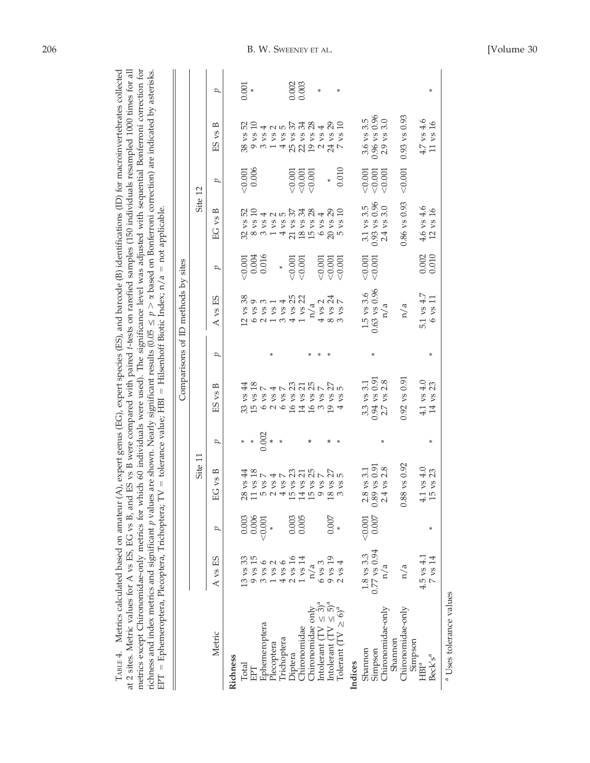|                                                          |                                            |              |                                                                                                                                                                                                                                                                                                     |          |                                                                                                                                                                                                                                                                                                                                                                                                                                              |          | Comparisons of ID methods by sites                                                                      |                    |                                                                                                                                                         |         |                                                                                                                                                                                                                                                                                                                                                                                                                                       |                    |
|----------------------------------------------------------|--------------------------------------------|--------------|-----------------------------------------------------------------------------------------------------------------------------------------------------------------------------------------------------------------------------------------------------------------------------------------------------|----------|----------------------------------------------------------------------------------------------------------------------------------------------------------------------------------------------------------------------------------------------------------------------------------------------------------------------------------------------------------------------------------------------------------------------------------------------|----------|---------------------------------------------------------------------------------------------------------|--------------------|---------------------------------------------------------------------------------------------------------------------------------------------------------|---------|---------------------------------------------------------------------------------------------------------------------------------------------------------------------------------------------------------------------------------------------------------------------------------------------------------------------------------------------------------------------------------------------------------------------------------------|--------------------|
|                                                          |                                            |              | Site 11                                                                                                                                                                                                                                                                                             |          |                                                                                                                                                                                                                                                                                                                                                                                                                                              |          |                                                                                                         |                    | Site 12                                                                                                                                                 |         |                                                                                                                                                                                                                                                                                                                                                                                                                                       |                    |
| Metric                                                   | A vs ES                                    | р            | $G$ vs $B$<br>щ                                                                                                                                                                                                                                                                                     | р        | $ES$ vs $B$                                                                                                                                                                                                                                                                                                                                                                                                                                  | p        | A vs ES                                                                                                 | p                  | $\mathbf{r}$<br>EG vs                                                                                                                                   | p       | ES vs B                                                                                                                                                                                                                                                                                                                                                                                                                               | р                  |
| Richness                                                 |                                            |              |                                                                                                                                                                                                                                                                                                     |          |                                                                                                                                                                                                                                                                                                                                                                                                                                              |          |                                                                                                         |                    |                                                                                                                                                         |         |                                                                                                                                                                                                                                                                                                                                                                                                                                       |                    |
| Total                                                    | $13 \text{ vs } 33$                        | 0.003        |                                                                                                                                                                                                                                                                                                     | $^\star$ |                                                                                                                                                                                                                                                                                                                                                                                                                                              |          | $12 \text{ vs } 38$                                                                                     | < 0.001            | $32 \text{ vs } 52$<br>$8 \text{ vs } 10$<br>$3 \text{ vs } 4$<br>$1 \text{ vs } 2$                                                                     | < 0.001 | 52<br>$38$ vs.                                                                                                                                                                                                                                                                                                                                                                                                                        | 0.001              |
| EЧ                                                       | $9$ vs $15$                                | 0.006        |                                                                                                                                                                                                                                                                                                     | $\star$  |                                                                                                                                                                                                                                                                                                                                                                                                                                              |          |                                                                                                         | 0.004              |                                                                                                                                                         | 0.006   |                                                                                                                                                                                                                                                                                                                                                                                                                                       | ×                  |
| Ephemeroptera                                            | $3 \text{ vs } 6$                          | $<\!\!0.001$ | $\begin{array}{l} 287.5 \\ 288.7 \\ 289.7 \\ 281.7 \\ 281.7 \\ 282.7 \\ 283.7 \\ 284.7 \\ 285.7 \\ 285.7 \\ 285.7 \\ 285.7 \\ 285.7 \\ 285.7 \\ 285.7 \\ 285.7 \\ 285.7 \\ 285.7 \\ 285.7 \\ 285.7 \\ 285.7 \\ 285.7 \\ 285.7 \\ 285.7 \\ 285.7 \\ 285.7 \\ 285.7 \\ 285.7 \\ 285.7 \\ 285.7 \\ 28$ | 0.002    | $\begin{array}{l} 33 \, {\rm vs} \, 44 \\ {\rm 15 \, s} \, {\rm vs} \, 5 \\ {\rm 16 \, s} \, {\rm vs} \, {\rm vs} \, {\rm vs} \, {\rm vs} \, {\rm vs} \, {\rm vs} \, {\rm vs} \, {\rm vs} \, {\rm vs} \, {\rm vs} \, {\rm vs} \, {\rm vs} \, {\rm vs} \, {\rm vs} \, {\rm vs} \, {\rm vs} \, {\rm vs} \, {\rm vs} \, {\rm vs} \, {\rm vs} \, {\rm vs} \, {\rm vs} \, {\rm vs} \, {\rm vs} \, {\rm vs} \, {\rm vs} \, {\rm vs} \, {\rm vs} \$ |          | $\begin{array}{c} 6 \text{ vs } 9 \\ 2 \text{ vs } 3 \\ 1 \text{ vs } 1 \\ 3 \text{ vs } 4 \end{array}$ | 0.016              |                                                                                                                                                         |         | $\begin{array}{c} 9 \text{ vs } 10 \\ 3 \text{ vs } 4 \end{array}$                                                                                                                                                                                                                                                                                                                                                                    |                    |
| Plecoptera                                               | $1$ vs $2$                                 |              |                                                                                                                                                                                                                                                                                                     | $\ast$   |                                                                                                                                                                                                                                                                                                                                                                                                                                              | $\star$  |                                                                                                         |                    | 4 U ID                                                                                                                                                  |         |                                                                                                                                                                                                                                                                                                                                                                                                                                       |                    |
| Trichoptera                                              | $4$ vs $6$                                 |              |                                                                                                                                                                                                                                                                                                     | $\star$  |                                                                                                                                                                                                                                                                                                                                                                                                                                              |          |                                                                                                         | *                  | $4 \text{ vs}$                                                                                                                                          |         |                                                                                                                                                                                                                                                                                                                                                                                                                                       |                    |
| Diptera                                                  | $2$ vs $16$                                | 0.003        |                                                                                                                                                                                                                                                                                                     |          |                                                                                                                                                                                                                                                                                                                                                                                                                                              |          | $4$ vs $25$                                                                                             | < 0.001            |                                                                                                                                                         | < 0.001 |                                                                                                                                                                                                                                                                                                                                                                                                                                       | $0.002$<br>$0.003$ |
| Chironomidae                                             | $1 \text{ vs } 14$                         | 0.005        |                                                                                                                                                                                                                                                                                                     |          |                                                                                                                                                                                                                                                                                                                                                                                                                                              |          | $1 \text{ vs } 22$                                                                                      | < 0.001            | $\begin{array}{l} 21 \text{ vs } 37 \\ 18 \text{ vs } 28 \\ 15 \text{ vs } 28 \\ 6 \text{ vs } 29 \\ 70 \text{ vs } 29 \\ 5 \text{ vs } 10 \end{array}$ | < 0.001 | $\begin{array}{c} 1 \text{ vs } 2 \\ 4 \text{ vs } 5 \\ 25 \text{ vs } 37 \\ 22 \text{ vs } 34 \\ 19 \text{ vs } 28 \end{array}$                                                                                                                                                                                                                                                                                                      |                    |
| Chironomidae only                                        | n/a                                        |              |                                                                                                                                                                                                                                                                                                     | *        |                                                                                                                                                                                                                                                                                                                                                                                                                                              | $^\star$ | n/a                                                                                                     |                    |                                                                                                                                                         | < 0.001 |                                                                                                                                                                                                                                                                                                                                                                                                                                       |                    |
|                                                          | $6$ vs 3                                   |              |                                                                                                                                                                                                                                                                                                     |          |                                                                                                                                                                                                                                                                                                                                                                                                                                              | *        | $4 \text{ vs } 2$                                                                                       | < 0.001            |                                                                                                                                                         |         | 4                                                                                                                                                                                                                                                                                                                                                                                                                                     | $\ast$             |
| Intolerant $(TV \leq 3)^a$<br>Intolerant $(TV \leq 5)^a$ | $\frac{9 \text{ vs } 19}{2 \text{ vs } 4}$ | 0.007        |                                                                                                                                                                                                                                                                                                     | ∗        |                                                                                                                                                                                                                                                                                                                                                                                                                                              | $^\star$ | $\begin{array}{c} 8 \text{ vs } 24 \\ 3 \text{ vs } 7 \end{array}$                                      | < 0.001            |                                                                                                                                                         | $\ast$  | 29<br>$24 \text{ vs } 22 \text{ vs } 22 \text{ vs } 22 \text{ vs } 22 \text{ vs } 22 \text{ vs } 22 \text{ vs } 22 \text{ vs } 22 \text{ vs } 22 \text{ vs } 22 \text{ vs } 22 \text{ vs } 22 \text{ vs } 22 \text{ vs } 22 \text{ vs } 22 \text{ vs } 22 \text{ vs } 22 \text{ vs } 22 \text{ vs } 22 \text{ vs } 22 \text{ vs } 22 \text{ vs } 22 \text{ vs } 22 \text{ vs } 22 \text{ vs } 22 \text{ vs } 22 \text{ vs } 22 \text$ |                    |
| Tolerant $(TV \geq 6)^a$                                 |                                            |              |                                                                                                                                                                                                                                                                                                     |          |                                                                                                                                                                                                                                                                                                                                                                                                                                              |          |                                                                                                         | < 0.001            |                                                                                                                                                         | 0.010   | $\Box$                                                                                                                                                                                                                                                                                                                                                                                                                                | *                  |
| Indices                                                  |                                            |              |                                                                                                                                                                                                                                                                                                     |          |                                                                                                                                                                                                                                                                                                                                                                                                                                              |          |                                                                                                         |                    |                                                                                                                                                         |         |                                                                                                                                                                                                                                                                                                                                                                                                                                       |                    |
| Shannon                                                  | $1.8$ vs 3.3                               | $<\!\!0.001$ |                                                                                                                                                                                                                                                                                                     |          | $3.3$ vs $3.1$                                                                                                                                                                                                                                                                                                                                                                                                                               |          | $1.5$ vs $3.6$                                                                                          | < 0.001            |                                                                                                                                                         | < 0.001 |                                                                                                                                                                                                                                                                                                                                                                                                                                       |                    |
| Simpson                                                  | $0.77 \text{ vs } 0.94$                    | $0.007$      | $\frac{2.8 \text{ vs } 3.1}{0.89 \text{ vs } 0.91}$<br>2.4 vs 2.8                                                                                                                                                                                                                                   |          | $0.94$ vs $0.91$                                                                                                                                                                                                                                                                                                                                                                                                                             | $^\star$ | $0.63$ vs $0.96$                                                                                        | < 0.001            | $3.1$ vs $3.5$<br>0.93 vs 0.96                                                                                                                          | < 0.001 | $3.6$ vs $3.5$<br>$0.96$ vs $0.96$                                                                                                                                                                                                                                                                                                                                                                                                    |                    |
| Chironomidae-only                                        | n/a                                        |              |                                                                                                                                                                                                                                                                                                     | *        | $2.7$ vs $2.8$                                                                                                                                                                                                                                                                                                                                                                                                                               |          | n/a                                                                                                     |                    | $2.4$ vs $3.0$                                                                                                                                          | < 0.001 | $2.9$ vs $3.0$                                                                                                                                                                                                                                                                                                                                                                                                                        |                    |
| Shannon                                                  |                                            |              |                                                                                                                                                                                                                                                                                                     |          |                                                                                                                                                                                                                                                                                                                                                                                                                                              |          |                                                                                                         |                    |                                                                                                                                                         |         |                                                                                                                                                                                                                                                                                                                                                                                                                                       |                    |
| Chironomidae-only<br>Simpson                             | n/a                                        |              | $0.88$ vs $0.92$                                                                                                                                                                                                                                                                                    |          | $0.92 \text{ vs } 0.91$                                                                                                                                                                                                                                                                                                                                                                                                                      |          | n/a                                                                                                     |                    | $0.86$ vs $0.93$                                                                                                                                        | < 0.001 | $0.93$ vs $0.93$                                                                                                                                                                                                                                                                                                                                                                                                                      |                    |
| HBI <sup>a</sup>                                         | $4.5$ vs $4.1$ 7 vs $14$                   |              | $4.1$ vs $4.0$<br>$15$ vs $23$                                                                                                                                                                                                                                                                      |          | $4.1$ vs $4.0$                                                                                                                                                                                                                                                                                                                                                                                                                               |          | 5.1 vs 4.7                                                                                              | $0.002$<br>$0.010$ | $\begin{array}{c} 4.6 \text{ vs } 4.6 \\ 12 \text{ vs } 16 \end{array}$                                                                                 |         | $4.7$ vs $4.6$                                                                                                                                                                                                                                                                                                                                                                                                                        |                    |
| Beck's <sup>a</sup>                                      |                                            | *            |                                                                                                                                                                                                                                                                                                     | *        | 14 vs 23                                                                                                                                                                                                                                                                                                                                                                                                                                     | *        | $6$ vs $11$                                                                                             |                    |                                                                                                                                                         |         | 11 vs 16                                                                                                                                                                                                                                                                                                                                                                                                                              | *                  |
| <sup>a</sup> Uses tolerance values                       |                                            |              |                                                                                                                                                                                                                                                                                                     |          |                                                                                                                                                                                                                                                                                                                                                                                                                                              |          |                                                                                                         |                    |                                                                                                                                                         |         |                                                                                                                                                                                                                                                                                                                                                                                                                                       |                    |

TABLE 4. Metrics calculated based on amateur (A), expert genus (EG), expert species (ES), and barcode (B) identifications (ID) for macroinvertebrates collected<br>at 2 sites. Metric values for A vs ES, EG vs B, and ES vs B we TABLE 4. Metrics calculated based on amateur (A), expert genus (EG), expert species (ES), and barcode (B) identifications (ID) for macroinvertebrates collected at 2 sites. Metric values for A vs ES, EG vs B, and ES vs B were compared with paired t-tests on rarefied samples (150 individuals resampled 1000 times for all metrics except Chironomidae-only metrics for which 60 individuals were used). The significance level was adjusted with sequential Bonferroni correction for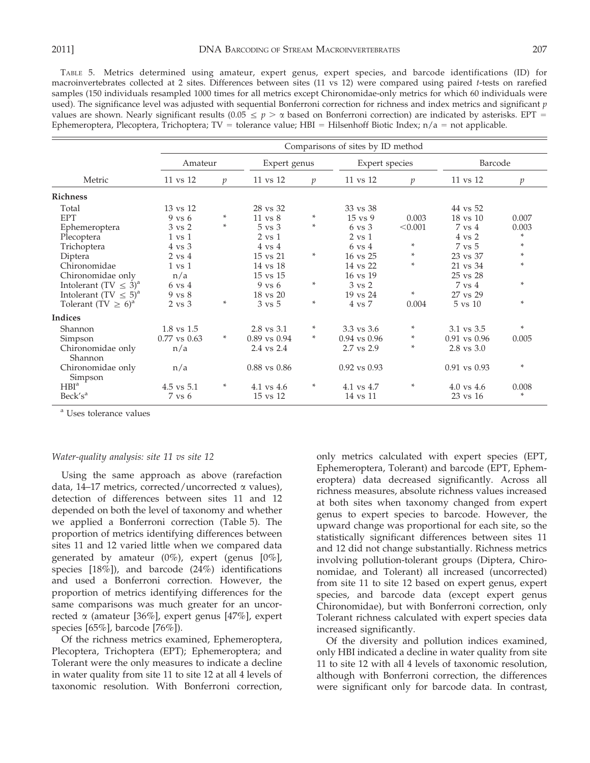TABLE 5. Metrics determined using amateur, expert genus, expert species, and barcode identifications (ID) for macroinvertebrates collected at 2 sites. Differences between sites (11 vs 12) were compared using paired t-tests on rarefied samples (150 individuals resampled 1000 times for all metrics except Chironomidae-only metrics for which 60 individuals were used). The significance level was adjusted with sequential Bonferroni correction for richness and index metrics and significant  $p$ values are shown. Nearly significant results (0.05  $\leq$  p  $>$  a based on Bonferroni correction) are indicated by asterisks. EPT = Ephemeroptera, Plecoptera, Trichoptera; TV = tolerance value; HBI = Hilsenhoff Biotic Index;  $n/a = not$  applicable.

|                                        | Comparisons of sites by ID method |               |                     |               |                    |               |                       |        |
|----------------------------------------|-----------------------------------|---------------|---------------------|---------------|--------------------|---------------|-----------------------|--------|
|                                        | Amateur                           |               | Expert genus        |               | Expert species     |               | Barcode               |        |
| Metric                                 | 11 vs 12                          | $\mathcal{D}$ | 11 vs 12            | $\mathcal{D}$ | 11 vs 12           | $\mathcal{V}$ | 11 vs 12              | р      |
| <b>Richness</b>                        |                                   |               |                     |               |                    |               |                       |        |
| Total                                  | 13 vs 12                          |               | 28 vs 32            |               | 33 vs 38           |               | 44 vs 52              |        |
| <b>EPT</b>                             | $9 \text{ vs } 6$                 | *             | $11 \text{ vs } 8$  | $\ast$        | $15 \text{ vs } 9$ | 0.003         | 18 vs 10              | 0.007  |
| Ephemeroptera                          | 3 vs 2                            | *             | 5 vs 3              | $\ast$        | 6 vs 3             | < 0.001       | $7$ vs $4\,$          | 0.003  |
| Plecoptera                             | $1 \text{ vs } 1$                 |               | $2 \text{ vs } 1$   |               | $2 \text{ vs } 1$  |               | $4 \text{ vs } 2$     | $\ast$ |
| Trichoptera                            | $4 \text{ vs } 3$                 |               | $4 \text{ vs } 4$   |               | $6 \text{ vs } 4$  | $\ast$        | 7 vs 5                | *      |
| Diptera                                | $2 \text{ vs } 4$                 |               | 15 vs 21            | $\ast$        | 16 vs 25           | $\ast$        | 23 vs 37              | *      |
| Chironomidae                           | $1 \text{ vs } 1$                 |               | 14 vs 18            |               | 14 vs 22           | $\ast$        | 21 vs 34              | $\ast$ |
| Chironomidae only                      | n/a                               |               | $15 \text{ vs } 15$ |               | 16 vs 19           |               | 25 vs 28              |        |
| Intolerant (TV $\leq$ 3) <sup>a</sup>  | $6 \text{ vs } 4$                 |               | $9 \text{ vs } 6$   | $\ast$        | 3 vs 2             |               | 7 vs 4                | *      |
| Intolerant (TV $\leq 5$ ) <sup>a</sup> | $9$ vs $8$                        |               | 18 vs 20            |               | 19 vs 24           | $\ast$        | 27 vs 29              |        |
| Tolerant (TV $\geq 6$ ) <sup>a</sup>   | $2 \text{ vs } 3$                 | *             | 3 vs 5              | $\ast$        | 4 vs 7             | 0.004         | 5 vs 10               | *      |
| <b>Indices</b>                         |                                   |               |                     |               |                    |               |                       |        |
| Shannon                                | $1.8$ vs $1.5$                    |               | 2.8 vs 3.1          | *             | 3.3 vs 3.6         | *             | 3.1 vs 3.5            | $\ast$ |
| Simpson                                | $0.77$ vs $0.63$                  | *             | $0.89$ vs $0.94$    | $\ast$        | $0.94$ vs $0.96$   | *             | $0.91$ vs $0.96$      | 0.005  |
| Chironomidae only                      | n/a                               |               | 2.4 vs 2.4          |               | 2.7 vs 2.9         | $\ast$        | $2.8$ vs $3.0$        |        |
| Shannon                                |                                   |               |                     |               |                    |               |                       |        |
| Chironomidae only                      | n/a                               |               | $0.88$ vs $0.86$    |               | $0.92$ vs $0.93$   |               | $0.91$ vs $0.93$      | *      |
| Simpson                                |                                   |               |                     |               |                    |               |                       |        |
| HBI <sup>a</sup>                       | 4.5 vs 5.1                        | *             | 4.1 vs 4.6          | $\ast$        | 4.1 vs 4.7         | *             | $4.0 \text{ vs } 4.6$ | 0.008  |
| Beck's <sup>a</sup>                    | 7 vs 6                            |               | 15 vs 12            |               | 14 vs 11           |               | 23 vs 16              | *      |

<sup>a</sup> Uses tolerance values

#### Water-quality analysis: site 11 vs site 12

Using the same approach as above (rarefaction data, 14–17 metrics, corrected/uncorrected  $\alpha$  values), detection of differences between sites 11 and 12 depended on both the level of taxonomy and whether we applied a Bonferroni correction (Table 5). The proportion of metrics identifying differences between sites 11 and 12 varied little when we compared data generated by amateur  $(0\%)$ , expert (genus  $[0\%]$ , species  $[18\%]$ , and barcode  $(24\%)$  identifications and used a Bonferroni correction. However, the proportion of metrics identifying differences for the same comparisons was much greater for an uncorrected  $\alpha$  (amateur [36%], expert genus [47%], expert species [65%], barcode [76%]).

Of the richness metrics examined, Ephemeroptera, Plecoptera, Trichoptera (EPT); Ephemeroptera; and Tolerant were the only measures to indicate a decline in water quality from site 11 to site 12 at all 4 levels of taxonomic resolution. With Bonferroni correction, only metrics calculated with expert species (EPT, Ephemeroptera, Tolerant) and barcode (EPT, Ephemeroptera) data decreased significantly. Across all richness measures, absolute richness values increased at both sites when taxonomy changed from expert genus to expert species to barcode. However, the upward change was proportional for each site, so the statistically significant differences between sites 11 and 12 did not change substantially. Richness metrics involving pollution-tolerant groups (Diptera, Chironomidae, and Tolerant) all increased (uncorrected) from site 11 to site 12 based on expert genus, expert species, and barcode data (except expert genus Chironomidae), but with Bonferroni correction, only Tolerant richness calculated with expert species data increased significantly.

Of the diversity and pollution indices examined, only HBI indicated a decline in water quality from site 11 to site 12 with all 4 levels of taxonomic resolution, although with Bonferroni correction, the differences were significant only for barcode data. In contrast,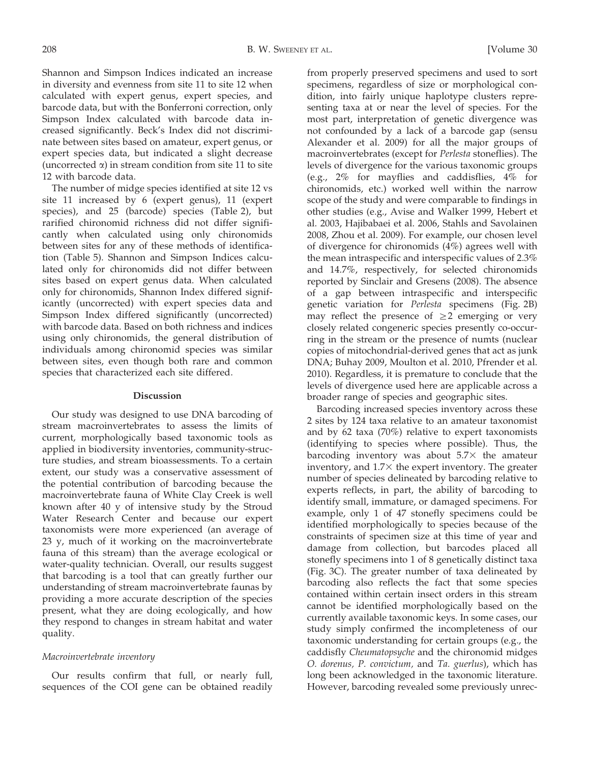Shannon and Simpson Indices indicated an increase in diversity and evenness from site 11 to site 12 when calculated with expert genus, expert species, and barcode data, but with the Bonferroni correction, only Simpson Index calculated with barcode data increased significantly. Beck's Index did not discriminate between sites based on amateur, expert genus, or expert species data, but indicated a slight decrease (uncorrected  $\alpha$ ) in stream condition from site 11 to site 12 with barcode data.

The number of midge species identified at site 12 vs site 11 increased by 6 (expert genus), 11 (expert species), and 25 (barcode) species (Table 2), but rarified chironomid richness did not differ significantly when calculated using only chironomids between sites for any of these methods of identification (Table 5). Shannon and Simpson Indices calculated only for chironomids did not differ between sites based on expert genus data. When calculated only for chironomids, Shannon Index differed significantly (uncorrected) with expert species data and Simpson Index differed significantly (uncorrected) with barcode data. Based on both richness and indices using only chironomids, the general distribution of individuals among chironomid species was similar between sites, even though both rare and common species that characterized each site differed.

#### Discussion

Our study was designed to use DNA barcoding of stream macroinvertebrates to assess the limits of current, morphologically based taxonomic tools as applied in biodiversity inventories, community-structure studies, and stream bioassessments. To a certain extent, our study was a conservative assessment of the potential contribution of barcoding because the macroinvertebrate fauna of White Clay Creek is well known after 40 y of intensive study by the Stroud Water Research Center and because our expert taxonomists were more experienced (an average of 23 y, much of it working on the macroinvertebrate fauna of this stream) than the average ecological or water-quality technician. Overall, our results suggest that barcoding is a tool that can greatly further our understanding of stream macroinvertebrate faunas by providing a more accurate description of the species present, what they are doing ecologically, and how they respond to changes in stream habitat and water quality.

## Macroinvertebrate inventory

Our results confirm that full, or nearly full, sequences of the COI gene can be obtained readily

from properly preserved specimens and used to sort specimens, regardless of size or morphological condition, into fairly unique haplotype clusters representing taxa at or near the level of species. For the most part, interpretation of genetic divergence was not confounded by a lack of a barcode gap (sensu Alexander et al. 2009) for all the major groups of macroinvertebrates (except for Perlesta stoneflies). The levels of divergence for the various taxonomic groups (e.g., 2% for mayflies and caddisflies, 4% for chironomids, etc.) worked well within the narrow scope of the study and were comparable to findings in other studies (e.g., Avise and Walker 1999, Hebert et al. 2003, Hajibabaei et al. 2006, Stahls and Savolainen 2008, Zhou et al. 2009). For example, our chosen level of divergence for chironomids (4%) agrees well with the mean intraspecific and interspecific values of 2.3% and 14.7%, respectively, for selected chironomids reported by Sinclair and Gresens (2008). The absence of a gap between intraspecific and interspecific genetic variation for Perlesta specimens (Fig. 2B) may reflect the presence of  $\geq 2$  emerging or very closely related congeneric species presently co-occurring in the stream or the presence of numts (nuclear copies of mitochondrial-derived genes that act as junk DNA; Buhay 2009, Moulton et al. 2010, Pfrender et al. 2010). Regardless, it is premature to conclude that the levels of divergence used here are applicable across a broader range of species and geographic sites.

Barcoding increased species inventory across these 2 sites by 124 taxa relative to an amateur taxonomist and by 62 taxa (70%) relative to expert taxonomists (identifying to species where possible). Thus, the barcoding inventory was about  $5.7\times$  the amateur inventory, and  $1.7\times$  the expert inventory. The greater number of species delineated by barcoding relative to experts reflects, in part, the ability of barcoding to identify small, immature, or damaged specimens. For example, only 1 of 47 stonefly specimens could be identified morphologically to species because of the constraints of specimen size at this time of year and damage from collection, but barcodes placed all stonefly specimens into 1 of 8 genetically distinct taxa (Fig. 3C). The greater number of taxa delineated by barcoding also reflects the fact that some species contained within certain insect orders in this stream cannot be identified morphologically based on the currently available taxonomic keys. In some cases, our study simply confirmed the incompleteness of our taxonomic understanding for certain groups (e.g., the caddisfly Cheumatopsyche and the chironomid midges O. dorenus, P. convictum, and Ta. guerlus), which has long been acknowledged in the taxonomic literature. However, barcoding revealed some previously unrec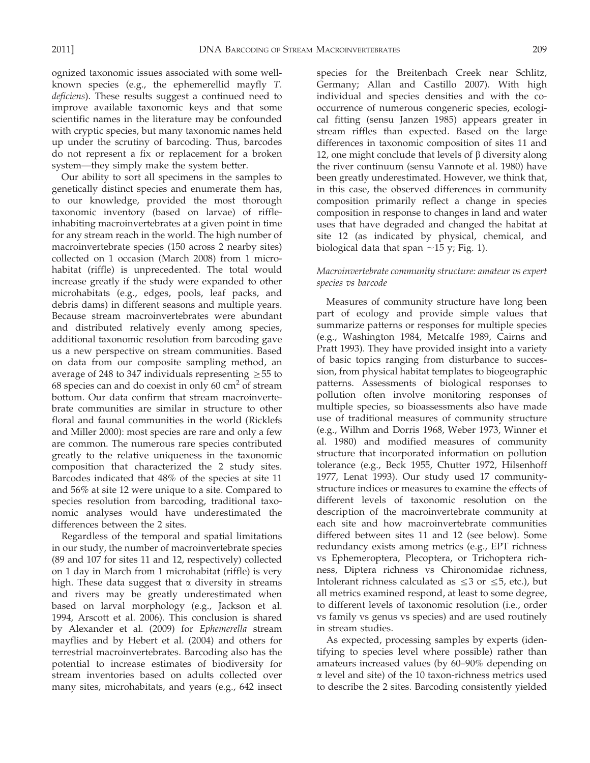ognized taxonomic issues associated with some wellknown species (e.g., the ephemerellid mayfly T. deficiens). These results suggest a continued need to improve available taxonomic keys and that some scientific names in the literature may be confounded with cryptic species, but many taxonomic names held up under the scrutiny of barcoding. Thus, barcodes do not represent a fix or replacement for a broken system—they simply make the system better.

Our ability to sort all specimens in the samples to genetically distinct species and enumerate them has, to our knowledge, provided the most thorough taxonomic inventory (based on larvae) of riffleinhabiting macroinvertebrates at a given point in time for any stream reach in the world. The high number of macroinvertebrate species (150 across 2 nearby sites) collected on 1 occasion (March 2008) from 1 microhabitat (riffle) is unprecedented. The total would increase greatly if the study were expanded to other microhabitats (e.g., edges, pools, leaf packs, and debris dams) in different seasons and multiple years. Because stream macroinvertebrates were abundant and distributed relatively evenly among species, additional taxonomic resolution from barcoding gave us a new perspective on stream communities. Based on data from our composite sampling method, an average of 248 to 347 individuals representing  $\geq$  55 to 68 species can and do coexist in only 60  $\text{cm}^2$  of stream bottom. Our data confirm that stream macroinvertebrate communities are similar in structure to other floral and faunal communities in the world (Ricklefs and Miller 2000): most species are rare and only a few are common. The numerous rare species contributed greatly to the relative uniqueness in the taxonomic composition that characterized the 2 study sites. Barcodes indicated that 48% of the species at site 11 and 56% at site 12 were unique to a site. Compared to species resolution from barcoding, traditional taxonomic analyses would have underestimated the differences between the 2 sites.

Regardless of the temporal and spatial limitations in our study, the number of macroinvertebrate species (89 and 107 for sites 11 and 12, respectively) collected on 1 day in March from 1 microhabitat (riffle) is very high. These data suggest that  $\alpha$  diversity in streams and rivers may be greatly underestimated when based on larval morphology (e.g., Jackson et al. 1994, Arscott et al. 2006). This conclusion is shared by Alexander et al. (2009) for Ephemerella stream mayflies and by Hebert et al. (2004) and others for terrestrial macroinvertebrates. Barcoding also has the potential to increase estimates of biodiversity for stream inventories based on adults collected over many sites, microhabitats, and years (e.g., 642 insect species for the Breitenbach Creek near Schlitz, Germany; Allan and Castillo 2007). With high individual and species densities and with the cooccurrence of numerous congeneric species, ecological fitting (sensu Janzen 1985) appears greater in stream riffles than expected. Based on the large differences in taxonomic composition of sites 11 and 12, one might conclude that levels of  $\beta$  diversity along the river continuum (sensu Vannote et al. 1980) have been greatly underestimated. However, we think that, in this case, the observed differences in community composition primarily reflect a change in species composition in response to changes in land and water uses that have degraded and changed the habitat at site 12 (as indicated by physical, chemical, and biological data that span  $\sim$ 15 y; Fig. 1).

# Macroinvertebrate community structure: amateur vs expert species vs barcode

Measures of community structure have long been part of ecology and provide simple values that summarize patterns or responses for multiple species (e.g., Washington 1984, Metcalfe 1989, Cairns and Pratt 1993). They have provided insight into a variety of basic topics ranging from disturbance to succession, from physical habitat templates to biogeographic patterns. Assessments of biological responses to pollution often involve monitoring responses of multiple species, so bioassessments also have made use of traditional measures of community structure (e.g., Wilhm and Dorris 1968, Weber 1973, Winner et al. 1980) and modified measures of community structure that incorporated information on pollution tolerance (e.g., Beck 1955, Chutter 1972, Hilsenhoff 1977, Lenat 1993). Our study used 17 communitystructure indices or measures to examine the effects of different levels of taxonomic resolution on the description of the macroinvertebrate community at each site and how macroinvertebrate communities differed between sites 11 and 12 (see below). Some redundancy exists among metrics (e.g., EPT richness vs Ephemeroptera, Plecoptera, or Trichoptera richness, Diptera richness vs Chironomidae richness, Intolerant richness calculated as  $\leq 3$  or  $\leq 5$ , etc.), but all metrics examined respond, at least to some degree, to different levels of taxonomic resolution (i.e., order vs family vs genus vs species) and are used routinely in stream studies.

As expected, processing samples by experts (identifying to species level where possible) rather than amateurs increased values (by 60–90% depending on  $\alpha$  level and site) of the 10 taxon-richness metrics used to describe the 2 sites. Barcoding consistently yielded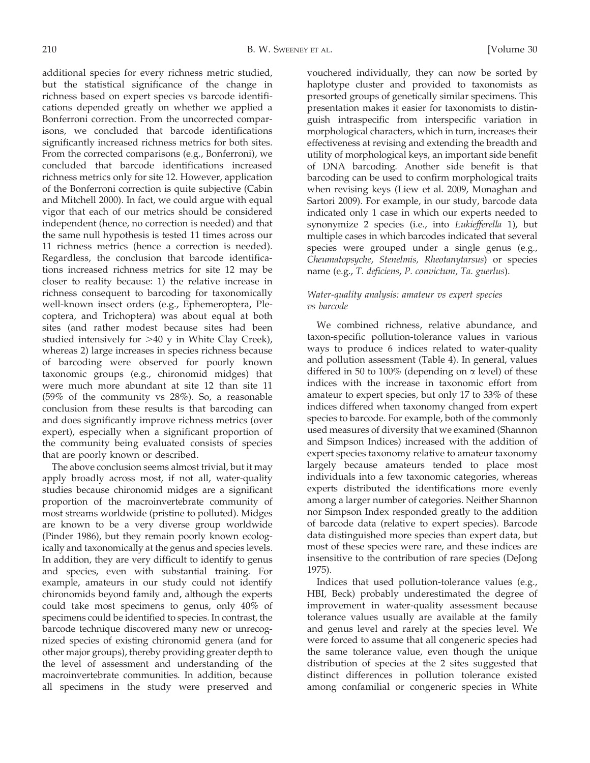additional species for every richness metric studied, but the statistical significance of the change in richness based on expert species vs barcode identifications depended greatly on whether we applied a Bonferroni correction. From the uncorrected comparisons, we concluded that barcode identifications significantly increased richness metrics for both sites. From the corrected comparisons (e.g., Bonferroni), we concluded that barcode identifications increased richness metrics only for site 12. However, application of the Bonferroni correction is quite subjective (Cabin and Mitchell 2000). In fact, we could argue with equal vigor that each of our metrics should be considered independent (hence, no correction is needed) and that the same null hypothesis is tested 11 times across our 11 richness metrics (hence a correction is needed). Regardless, the conclusion that barcode identifications increased richness metrics for site 12 may be closer to reality because: 1) the relative increase in richness consequent to barcoding for taxonomically well-known insect orders (e.g., Ephemeroptera, Plecoptera, and Trichoptera) was about equal at both sites (and rather modest because sites had been studied intensively for  $>40$  y in White Clay Creek), whereas 2) large increases in species richness because of barcoding were observed for poorly known taxonomic groups (e.g., chironomid midges) that were much more abundant at site 12 than site 11 (59% of the community vs 28%). So, a reasonable conclusion from these results is that barcoding can and does significantly improve richness metrics (over expert), especially when a significant proportion of the community being evaluated consists of species that are poorly known or described.

The above conclusion seems almost trivial, but it may apply broadly across most, if not all, water-quality studies because chironomid midges are a significant proportion of the macroinvertebrate community of most streams worldwide (pristine to polluted). Midges are known to be a very diverse group worldwide (Pinder 1986), but they remain poorly known ecologically and taxonomically at the genus and species levels. In addition, they are very difficult to identify to genus and species, even with substantial training. For example, amateurs in our study could not identify chironomids beyond family and, although the experts could take most specimens to genus, only 40% of specimens could be identified to species. In contrast, the barcode technique discovered many new or unrecognized species of existing chironomid genera (and for other major groups), thereby providing greater depth to the level of assessment and understanding of the macroinvertebrate communities. In addition, because all specimens in the study were preserved and

vouchered individually, they can now be sorted by haplotype cluster and provided to taxonomists as presorted groups of genetically similar specimens. This presentation makes it easier for taxonomists to distinguish intraspecific from interspecific variation in morphological characters, which in turn, increases their effectiveness at revising and extending the breadth and utility of morphological keys, an important side benefit of DNA barcoding. Another side benefit is that barcoding can be used to confirm morphological traits when revising keys (Liew et al. 2009, Monaghan and Sartori 2009). For example, in our study, barcode data indicated only 1 case in which our experts needed to synonymize 2 species (i.e., into Eukiefferella 1), but multiple cases in which barcodes indicated that several species were grouped under a single genus (e.g., Cheumatopsyche, Stenelmis, Rheotanytarsus) or species name (e.g., T. deficiens, P. convictum, Ta. guerlus).

# Water-quality analysis: amateur vs expert species vs barcode

We combined richness, relative abundance, and taxon-specific pollution-tolerance values in various ways to produce 6 indices related to water-quality and pollution assessment (Table 4). In general, values differed in 50 to 100% (depending on  $\alpha$  level) of these indices with the increase in taxonomic effort from amateur to expert species, but only 17 to 33% of these indices differed when taxonomy changed from expert species to barcode. For example, both of the commonly used measures of diversity that we examined (Shannon and Simpson Indices) increased with the addition of expert species taxonomy relative to amateur taxonomy largely because amateurs tended to place most individuals into a few taxonomic categories, whereas experts distributed the identifications more evenly among a larger number of categories. Neither Shannon nor Simpson Index responded greatly to the addition of barcode data (relative to expert species). Barcode data distinguished more species than expert data, but most of these species were rare, and these indices are insensitive to the contribution of rare species (DeJong 1975).

Indices that used pollution-tolerance values (e.g., HBI, Beck) probably underestimated the degree of improvement in water-quality assessment because tolerance values usually are available at the family and genus level and rarely at the species level. We were forced to assume that all congeneric species had the same tolerance value, even though the unique distribution of species at the 2 sites suggested that distinct differences in pollution tolerance existed among confamilial or congeneric species in White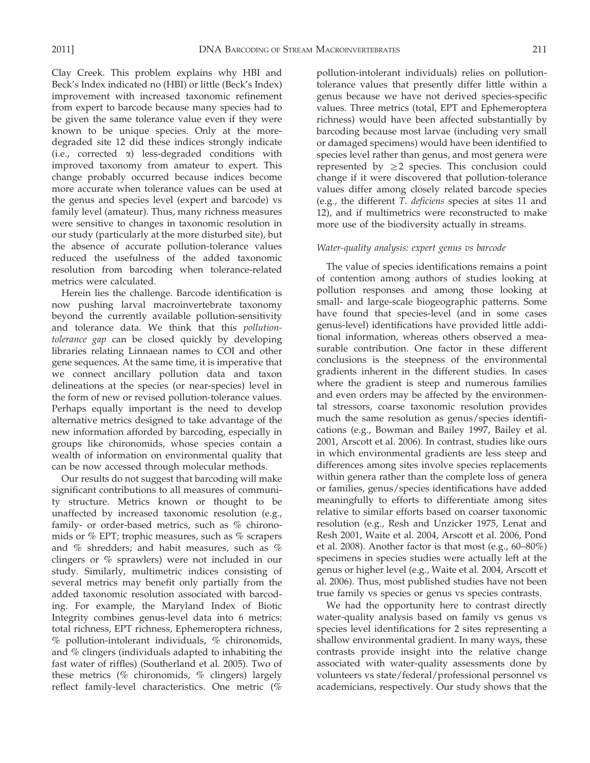Clay Creek. This problem explains why HBI and Beck's Index indicated no (HBI) or little (Beck's Index) improvement with increased taxonomic refinement from expert to barcode because many species had to be given the same tolerance value even if they were known to be unique species. Only at the moredegraded site 12 did these indices strongly indicate (i.e., corrected a) less-degraded conditions with improved taxonomy from amateur to expert. This change probably occurred because indices become more accurate when tolerance values can be used at the genus and species level (expert and barcode) vs family level (amateur). Thus, many richness measures were sensitive to changes in taxonomic resolution in our study (particularly at the more disturbed site), but the absence of accurate pollution-tolerance values reduced the usefulness of the added taxonomic resolution from barcoding when tolerance-related metrics were calculated.

Herein lies the challenge. Barcode identification is now pushing larval macroinvertebrate taxonomy beyond the currently available pollution-sensitivity and tolerance data. We think that this pollutiontolerance gap can be closed quickly by developing libraries relating Linnaean names to COI and other gene sequences. At the same time, it is imperative that we connect ancillary pollution data and taxon delineations at the species (or near-species) level in the form of new or revised pollution-tolerance values. Perhaps equally important is the need to develop alternative metrics designed to take advantage of the new information afforded by barcoding, especially in groups like chironomids, whose species contain a wealth of information on environmental quality that can be now accessed through molecular methods.

Our results do not suggest that barcoding will make significant contributions to all measures of community structure. Metrics known or thought to be unaffected by increased taxonomic resolution (e.g., family- or order-based metrics, such as % chironomids or % EPT; trophic measures, such as % scrapers and % shredders; and habit measures, such as % clingers or % sprawlers) were not included in our study. Similarly, multimetric indices consisting of several metrics may benefit only partially from the added taxonomic resolution associated with barcoding. For example, the Maryland Index of Biotic Integrity combines genus-level data into 6 metrics: total richness, EPT richness, Ephemeroptera richness,  $%$  pollution-intolerant individuals,  $%$  chironomids, and % clingers (individuals adapted to inhabiting the fast water of riffles) (Southerland et al. 2005). Two of these metrics (% chironomids, % clingers) largely reflect family-level characteristics. One metric (% pollution-intolerant individuals) relies on pollutiontolerance values that presently differ little within a genus because we have not derived species-specific values. Three metrics (total, EPT and Ephemeroptera richness) would have been affected substantially by barcoding because most larvae (including very small or damaged specimens) would have been identified to species level rather than genus, and most genera were represented by  $\geq 2$  species. This conclusion could change if it were discovered that pollution-tolerance values differ among closely related barcode species (e.g., the different T. deficiens species at sites 11 and 12), and if multimetrics were reconstructed to make more use of the biodiversity actually in streams.

## Water-quality analysis: expert genus vs barcode

The value of species identifications remains a point of contention among authors of studies looking at pollution responses and among those looking at small- and large-scale biogeographic patterns. Some have found that species-level (and in some cases genus-level) identifications have provided little additional information, whereas others observed a measurable contribution. One factor in these different conclusions is the steepness of the environmental gradients inherent in the different studies. In cases where the gradient is steep and numerous families and even orders may be affected by the environmental stressors, coarse taxonomic resolution provides much the same resolution as genus/species identifications (e.g., Bowman and Bailey 1997, Bailey et al. 2001, Arscott et al. 2006). In contrast, studies like ours in which environmental gradients are less steep and differences among sites involve species replacements within genera rather than the complete loss of genera or families, genus/species identifications have added meaningfully to efforts to differentiate among sites relative to similar efforts based on coarser taxonomic resolution (e.g., Resh and Unzicker 1975, Lenat and Resh 2001, Waite et al. 2004, Arscott et al. 2006, Pond et al. 2008). Another factor is that most (e.g., 60–80%) specimens in species studies were actually left at the genus or higher level (e.g., Waite et al. 2004, Arscott et al. 2006). Thus, most published studies have not been true family vs species or genus vs species contrasts.

We had the opportunity here to contrast directly water-quality analysis based on family vs genus vs species level identifications for 2 sites representing a shallow environmental gradient. In many ways, these contrasts provide insight into the relative change associated with water-quality assessments done by volunteers vs state/federal/professional personnel vs academicians, respectively. Our study shows that the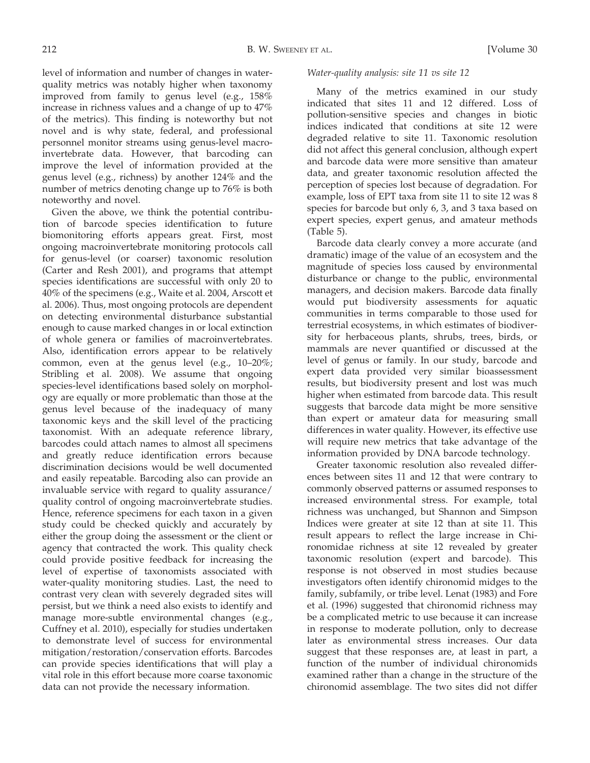level of information and number of changes in waterquality metrics was notably higher when taxonomy improved from family to genus level (e.g., 158% increase in richness values and a change of up to 47% of the metrics). This finding is noteworthy but not novel and is why state, federal, and professional personnel monitor streams using genus-level macroinvertebrate data. However, that barcoding can improve the level of information provided at the genus level (e.g., richness) by another 124% and the number of metrics denoting change up to 76% is both noteworthy and novel.

Given the above, we think the potential contribution of barcode species identification to future biomonitoring efforts appears great. First, most ongoing macroinvertebrate monitoring protocols call for genus-level (or coarser) taxonomic resolution (Carter and Resh 2001), and programs that attempt species identifications are successful with only 20 to 40% of the specimens (e.g., Waite et al. 2004, Arscott et al. 2006). Thus, most ongoing protocols are dependent on detecting environmental disturbance substantial enough to cause marked changes in or local extinction of whole genera or families of macroinvertebrates. Also, identification errors appear to be relatively common, even at the genus level (e.g., 10–20%; Stribling et al. 2008). We assume that ongoing species-level identifications based solely on morphology are equally or more problematic than those at the genus level because of the inadequacy of many taxonomic keys and the skill level of the practicing taxonomist. With an adequate reference library, barcodes could attach names to almost all specimens and greatly reduce identification errors because discrimination decisions would be well documented and easily repeatable. Barcoding also can provide an invaluable service with regard to quality assurance/ quality control of ongoing macroinvertebrate studies. Hence, reference specimens for each taxon in a given study could be checked quickly and accurately by either the group doing the assessment or the client or agency that contracted the work. This quality check could provide positive feedback for increasing the level of expertise of taxonomists associated with water-quality monitoring studies. Last, the need to contrast very clean with severely degraded sites will persist, but we think a need also exists to identify and manage more-subtle environmental changes (e.g., Cuffney et al. 2010), especially for studies undertaken to demonstrate level of success for environmental mitigation/restoration/conservation efforts. Barcodes can provide species identifications that will play a vital role in this effort because more coarse taxonomic data can not provide the necessary information.

### Water-quality analysis: site 11 vs site 12

Many of the metrics examined in our study indicated that sites 11 and 12 differed. Loss of pollution-sensitive species and changes in biotic indices indicated that conditions at site 12 were degraded relative to site 11. Taxonomic resolution did not affect this general conclusion, although expert and barcode data were more sensitive than amateur data, and greater taxonomic resolution affected the perception of species lost because of degradation. For example, loss of EPT taxa from site 11 to site 12 was 8 species for barcode but only 6, 3, and 3 taxa based on expert species, expert genus, and amateur methods (Table 5).

Barcode data clearly convey a more accurate (and dramatic) image of the value of an ecosystem and the magnitude of species loss caused by environmental disturbance or change to the public, environmental managers, and decision makers. Barcode data finally would put biodiversity assessments for aquatic communities in terms comparable to those used for terrestrial ecosystems, in which estimates of biodiversity for herbaceous plants, shrubs, trees, birds, or mammals are never quantified or discussed at the level of genus or family. In our study, barcode and expert data provided very similar bioassessment results, but biodiversity present and lost was much higher when estimated from barcode data. This result suggests that barcode data might be more sensitive than expert or amateur data for measuring small differences in water quality. However, its effective use will require new metrics that take advantage of the information provided by DNA barcode technology.

Greater taxonomic resolution also revealed differences between sites 11 and 12 that were contrary to commonly observed patterns or assumed responses to increased environmental stress. For example, total richness was unchanged, but Shannon and Simpson Indices were greater at site 12 than at site 11. This result appears to reflect the large increase in Chironomidae richness at site 12 revealed by greater taxonomic resolution (expert and barcode). This response is not observed in most studies because investigators often identify chironomid midges to the family, subfamily, or tribe level. Lenat (1983) and Fore et al. (1996) suggested that chironomid richness may be a complicated metric to use because it can increase in response to moderate pollution, only to decrease later as environmental stress increases. Our data suggest that these responses are, at least in part, a function of the number of individual chironomids examined rather than a change in the structure of the chironomid assemblage. The two sites did not differ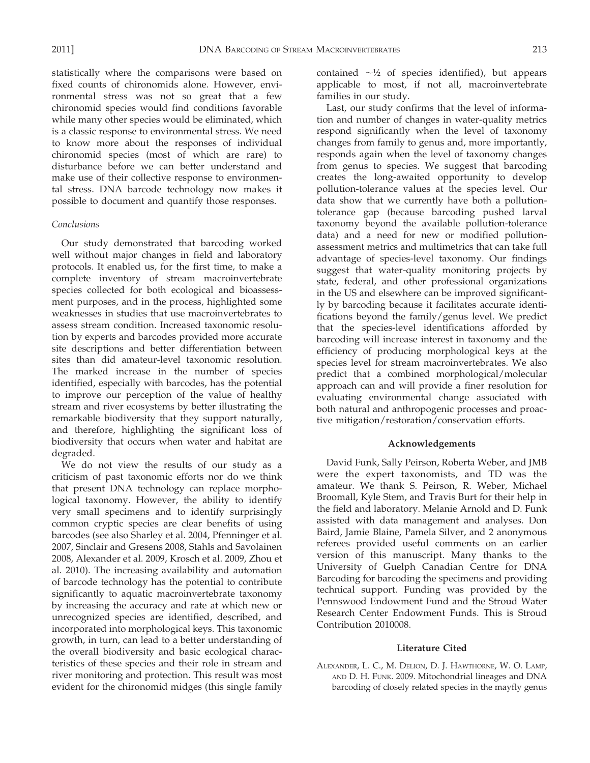statistically where the comparisons were based on fixed counts of chironomids alone. However, environmental stress was not so great that a few chironomid species would find conditions favorable while many other species would be eliminated, which is a classic response to environmental stress. We need to know more about the responses of individual chironomid species (most of which are rare) to disturbance before we can better understand and make use of their collective response to environmental stress. DNA barcode technology now makes it possible to document and quantify those responses.

#### Conclusions

Our study demonstrated that barcoding worked well without major changes in field and laboratory protocols. It enabled us, for the first time, to make a complete inventory of stream macroinvertebrate species collected for both ecological and bioassessment purposes, and in the process, highlighted some weaknesses in studies that use macroinvertebrates to assess stream condition. Increased taxonomic resolution by experts and barcodes provided more accurate site descriptions and better differentiation between sites than did amateur-level taxonomic resolution. The marked increase in the number of species identified, especially with barcodes, has the potential to improve our perception of the value of healthy stream and river ecosystems by better illustrating the remarkable biodiversity that they support naturally, and therefore, highlighting the significant loss of biodiversity that occurs when water and habitat are degraded.

We do not view the results of our study as a criticism of past taxonomic efforts nor do we think that present DNA technology can replace morphological taxonomy. However, the ability to identify very small specimens and to identify surprisingly common cryptic species are clear benefits of using barcodes (see also Sharley et al. 2004, Pfenninger et al. 2007, Sinclair and Gresens 2008, Stahls and Savolainen 2008, Alexander et al. 2009, Krosch et al. 2009, Zhou et al. 2010). The increasing availability and automation of barcode technology has the potential to contribute significantly to aquatic macroinvertebrate taxonomy by increasing the accuracy and rate at which new or unrecognized species are identified, described, and incorporated into morphological keys. This taxonomic growth, in turn, can lead to a better understanding of the overall biodiversity and basic ecological characteristics of these species and their role in stream and river monitoring and protection. This result was most evident for the chironomid midges (this single family contained  $\sim$ 1/2 of species identified), but appears applicable to most, if not all, macroinvertebrate families in our study.

Last, our study confirms that the level of information and number of changes in water-quality metrics respond significantly when the level of taxonomy changes from family to genus and, more importantly, responds again when the level of taxonomy changes from genus to species. We suggest that barcoding creates the long-awaited opportunity to develop pollution-tolerance values at the species level. Our data show that we currently have both a pollutiontolerance gap (because barcoding pushed larval taxonomy beyond the available pollution-tolerance data) and a need for new or modified pollutionassessment metrics and multimetrics that can take full advantage of species-level taxonomy. Our findings suggest that water-quality monitoring projects by state, federal, and other professional organizations in the US and elsewhere can be improved significantly by barcoding because it facilitates accurate identifications beyond the family/genus level. We predict that the species-level identifications afforded by barcoding will increase interest in taxonomy and the efficiency of producing morphological keys at the species level for stream macroinvertebrates. We also predict that a combined morphological/molecular approach can and will provide a finer resolution for evaluating environmental change associated with both natural and anthropogenic processes and proactive mitigation/restoration/conservation efforts.

#### Acknowledgements

David Funk, Sally Peirson, Roberta Weber, and JMB were the expert taxonomists, and TD was the amateur. We thank S. Peirson, R. Weber, Michael Broomall, Kyle Stem, and Travis Burt for their help in the field and laboratory. Melanie Arnold and D. Funk assisted with data management and analyses. Don Baird, Jamie Blaine, Pamela Silver, and 2 anonymous referees provided useful comments on an earlier version of this manuscript. Many thanks to the University of Guelph Canadian Centre for DNA Barcoding for barcoding the specimens and providing technical support. Funding was provided by the Pennswood Endowment Fund and the Stroud Water Research Center Endowment Funds. This is Stroud Contribution 2010008.

#### Literature Cited

ALEXANDER, L. C., M. DELION, D. J. HAWTHORNE, W. O. LAMP, AND D. H. FUNK. 2009. Mitochondrial lineages and DNA barcoding of closely related species in the mayfly genus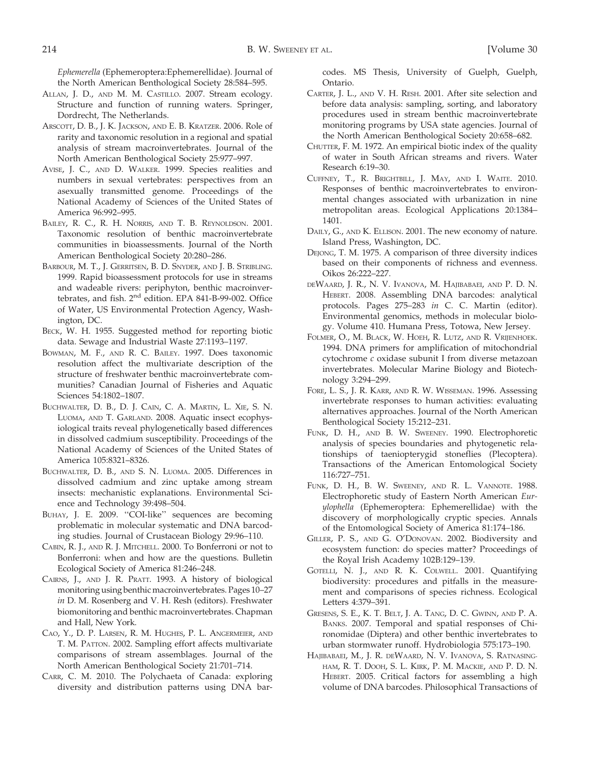Ephemerella (Ephemeroptera:Ephemerellidae). Journal of the North American Benthological Society 28:584–595.

- ALLAN, J. D., AND M. M. CASTILLO. 2007. Stream ecology. Structure and function of running waters. Springer, Dordrecht, The Netherlands.
- ARSCOTT, D. B., J. K. JACKSON, AND E. B. KRATZER. 2006. Role of rarity and taxonomic resolution in a regional and spatial analysis of stream macroinvertebrates. Journal of the North American Benthological Society 25:977–997.
- AVISE, J. C., AND D. WALKER. 1999. Species realities and numbers in sexual vertebrates: perspectives from an asexually transmitted genome. Proceedings of the National Academy of Sciences of the United States of America 96:992–995.
- BAILEY, R. C., R. H. NORRIS, AND T. B. REYNOLDSON. 2001. Taxonomic resolution of benthic macroinvertebrate communities in bioassessments. Journal of the North American Benthological Society 20:280–286.
- BARBOUR, M. T., J. GERRITSEN, B. D. SNYDER, AND J. B. STRIBLING. 1999. Rapid bioassessment protocols for use in streams and wadeable rivers: periphyton, benthic macroinvertebrates, and fish. 2<sup>nd</sup> edition. EPA 841-B-99-002. Office of Water, US Environmental Protection Agency, Washington, DC.
- BECK, W. H. 1955. Suggested method for reporting biotic data. Sewage and Industrial Waste 27:1193–1197.
- BOWMAN, M. F., AND R. C. BAILEY. 1997. Does taxonomic resolution affect the multivariate description of the structure of freshwater benthic macroinvertebrate communities? Canadian Journal of Fisheries and Aquatic Sciences 54:1802–1807.
- BUCHWALTER, D. B., D. J. CAIN, C. A. MARTIN, L. XIE, S. N. LUOMA, AND T. GARLAND. 2008. Aquatic insect ecophysiological traits reveal phylogenetically based differences in dissolved cadmium susceptibility. Proceedings of the National Academy of Sciences of the United States of America 105:8321–8326.
- BUCHWALTER, D. B., AND S. N. LUOMA. 2005. Differences in dissolved cadmium and zinc uptake among stream insects: mechanistic explanations. Environmental Science and Technology 39:498–504.
- BUHAY, J. E. 2009. "COI-like" sequences are becoming problematic in molecular systematic and DNA barcoding studies. Journal of Crustacean Biology 29:96–110.
- CABIN, R. J., AND R. J. MITCHELL. 2000. To Bonferroni or not to Bonferroni: when and how are the questions. Bulletin Ecological Society of America 81:246–248.
- CAIRNS, J., AND J. R. PRATT. 1993. A history of biological monitoring using benthic macroinvertebrates. Pages 10–27 in D. M. Rosenberg and V. H. Resh (editors). Freshwater biomonitoring and benthic macroinvertebrates. Chapman and Hall, New York.
- CAO, Y., D. P. LARSEN, R. M. HUGHES, P. L. ANGERMEIER, AND T. M. PATTON. 2002. Sampling effort affects multivariate comparisons of stream assemblages. Journal of the North American Benthological Society 21:701–714.
- CARR, C. M. 2010. The Polychaeta of Canada: exploring diversity and distribution patterns using DNA bar-

codes. MS Thesis, University of Guelph, Guelph, Ontario.

- CARTER, J. L., AND V. H. RESH. 2001. After site selection and before data analysis: sampling, sorting, and laboratory procedures used in stream benthic macroinvertebrate monitoring programs by USA state agencies. Journal of the North American Benthological Society 20:658–682.
- CHUTTER, F. M. 1972. An empirical biotic index of the quality of water in South African streams and rivers. Water Research 6:19–30.
- CUFFNEY, T., R. BRIGHTBILL, J. MAY, AND I. WAITE. 2010. Responses of benthic macroinvertebrates to environmental changes associated with urbanization in nine metropolitan areas. Ecological Applications 20:1384– 1401.
- DAILY, G., AND K. ELLISON. 2001. The new economy of nature. Island Press, Washington, DC.
- DEJONG, T. M. 1975. A comparison of three diversity indices based on their components of richness and evenness. Oikos 26:222–227.
- DEWAARD, J. R., N. V. IVANOVA, M. HAJIBABAEI, AND P. D. N. HEBERT. 2008. Assembling DNA barcodes: analytical protocols. Pages 275–283 in C. C. Martin (editor). Environmental genomics, methods in molecular biology. Volume 410. Humana Press, Totowa, New Jersey.
- FOLMER, O., M. BLACK, W. HOEH, R. LUTZ, AND R. VRIJENHOEK. 1994. DNA primers for amplification of mitochondrial cytochrome c oxidase subunit I from diverse metazoan invertebrates. Molecular Marine Biology and Biotechnology 3:294–299.
- FORE, L. S., J. R. KARR, AND R. W. WISSEMAN. 1996. Assessing invertebrate responses to human activities: evaluating alternatives approaches. Journal of the North American Benthological Society 15:212–231.
- FUNK, D. H., AND B. W. SWEENEY. 1990. Electrophoretic analysis of species boundaries and phytogenetic relationships of taeniopterygid stoneflies (Plecoptera). Transactions of the American Entomological Society 116:727–751.
- FUNK, D. H., B. W. SWEENEY, AND R. L. VANNOTE. 1988. Electrophoretic study of Eastern North American Eurylophella (Ephemeroptera: Ephemerellidae) with the discovery of morphologically cryptic species. Annals of the Entomological Society of America 81:174–186.
- GILLER, P. S., AND G. O'DONOVAN. 2002. Biodiversity and ecosystem function: do species matter? Proceedings of the Royal Irish Academy 102B:129–139.
- GOTELLI, N. J., AND R. K. COLWELL. 2001. Quantifying biodiversity: procedures and pitfalls in the measurement and comparisons of species richness. Ecological Letters 4:379–391.
- GRESENS, S. E., K. T. BELT, J. A. TANG, D. C. GWINN, AND P. A. BANKS. 2007. Temporal and spatial responses of Chironomidae (Diptera) and other benthic invertebrates to urban stormwater runoff. Hydrobiologia 575:173–190.
- HAJIBABAEI, M., J. R. DEWAARD, N. V. IVANOVA, S. RATNASING-HAM, R. T. DOOH, S. L. KIRK, P. M. MACKIE, AND P. D. N. HEBERT. 2005. Critical factors for assembling a high volume of DNA barcodes. Philosophical Transactions of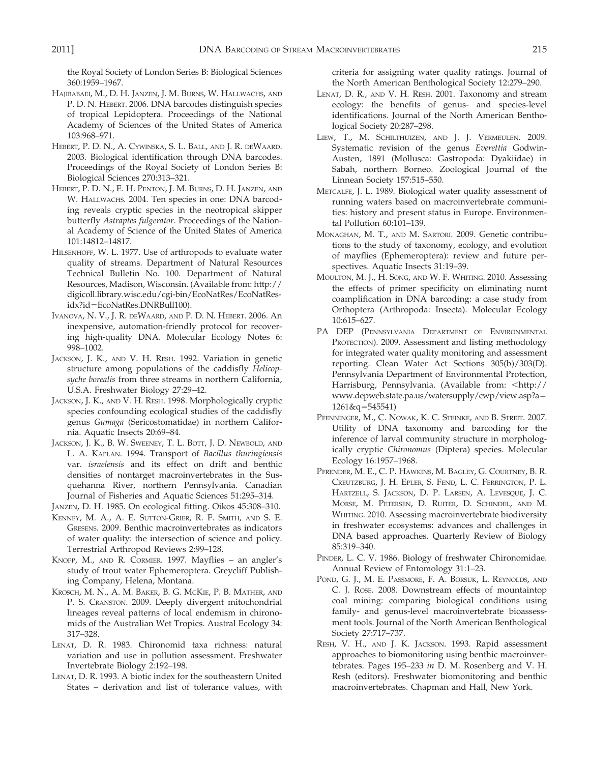the Royal Society of London Series B: Biological Sciences 360:1959–1967.

- HAJIBABAEI, M., D. H. JANZEN, J. M. BURNS, W. HALLWACHS, AND P. D. N. HEBERT. 2006. DNA barcodes distinguish species of tropical Lepidoptera. Proceedings of the National Academy of Sciences of the United States of America 103:968–971.
- HEBERT, P. D. N., A. CYWINSKA, S. L. BALL, AND J. R. DEWAARD. 2003. Biological identification through DNA barcodes. Proceedings of the Royal Society of London Series B: Biological Sciences 270:313–321.
- HEBERT, P. D. N., E. H. PENTON, J. M. BURNS, D. H. JANZEN, AND W. HALLWACHS. 2004. Ten species in one: DNA barcoding reveals cryptic species in the neotropical skipper butterfly Astraptes fulgerator. Proceedings of the National Academy of Science of the United States of America 101:14812–14817.
- HILSENHOFF, W. L. 1977. Use of arthropods to evaluate water quality of streams. Department of Natural Resources Technical Bulletin No. 100. Department of Natural Resources, Madison, Wisconsin. (Available from: http:// digicoll.library.wisc.edu/cgi-bin/EcoNatRes/EcoNatResidx?id=EcoNatRes.DNRBull100).
- IVANOVA, N. V., J. R. DEWAARD, AND P. D. N. HEBERT. 2006. An inexpensive, automation-friendly protocol for recovering high-quality DNA. Molecular Ecology Notes 6: 998–1002.
- JACKSON, J. K., AND V. H. RESH. 1992. Variation in genetic structure among populations of the caddisfly Helicopsyche borealis from three streams in northern California, U.S.A. Freshwater Biology 27:29–42.
- JACKSON, J. K., AND V. H. RESH. 1998. Morphologically cryptic species confounding ecological studies of the caddisfly genus Gumaga (Sericostomatidae) in northern California. Aquatic Insects 20:69–84.
- JACKSON, J. K., B. W. SWEENEY, T. L. BOTT, J. D. NEWBOLD, AND L. A. KAPLAN. 1994. Transport of Bacillus thuringiensis var. israelensis and its effect on drift and benthic densities of nontarget macroinvertebrates in the Susquehanna River, northern Pennsylvania. Canadian Journal of Fisheries and Aquatic Sciences 51:295–314.
- JANZEN, D. H. 1985. On ecological fitting. Oikos 45:308–310.
- KENNEY, M. A., A. E. SUTTON-GRIER, R. F. SMITH, AND S. E. GRESENS. 2009. Benthic macroinvertebrates as indicators of water quality: the intersection of science and policy. Terrestrial Arthropod Reviews 2:99–128.
- KNOPP, M., AND R. CORMIER. 1997. Mayflies an angler's study of trout water Ephemeroptera. Greycliff Publishing Company, Helena, Montana.
- KROSCH, M. N., A. M. BAKER, B. G. MCKIE, P. B. MATHER, AND P. S. CRANSTON. 2009. Deeply divergent mitochondrial lineages reveal patterns of local endemism in chironomids of the Australian Wet Tropics. Austral Ecology 34: 317–328.
- LENAT, D. R. 1983. Chironomid taxa richness: natural variation and use in pollution assessment. Freshwater Invertebrate Biology 2:192–198.
- LENAT, D. R. 1993. A biotic index for the southeastern United States – derivation and list of tolerance values, with

criteria for assigning water quality ratings. Journal of the North American Benthological Society 12:279–290.

- LENAT, D. R., AND V. H. RESH. 2001. Taxonomy and stream ecology: the benefits of genus- and species-level identifications. Journal of the North American Benthological Society 20:287–298.
- LIEW, T., M. SCHILTHUIZEN, AND J. J. VERMEULEN. 2009. Systematic revision of the genus Everettia Godwin-Austen, 1891 (Mollusca: Gastropoda: Dyakiidae) in Sabah, northern Borneo. Zoological Journal of the Linnean Society 157:515–550.
- METCALFE, J. L. 1989. Biological water quality assessment of running waters based on macroinvertebrate communities: history and present status in Europe. Environmental Pollution 60:101–139.
- MONAGHAN, M. T., AND M. SARTORI. 2009. Genetic contributions to the study of taxonomy, ecology, and evolution of mayflies (Ephemeroptera): review and future perspectives. Aquatic Insects 31:19–39.
- MOULTON, M. J., H. SONG, AND W. F. WHITING. 2010. Assessing the effects of primer specificity on eliminating numt coamplification in DNA barcoding: a case study from Orthoptera (Arthropoda: Insecta). Molecular Ecology 10:615–627.
- PA DEP (PENNSYLVANIA DEPARTMENT OF ENVIRONMENTAL PROTECTION). 2009. Assessment and listing methodology for integrated water quality monitoring and assessment reporting. Clean Water Act Sections 305(b)/303(D). Pennsylvania Department of Environmental Protection, Harrisburg, Pennsylvania. (Available from: <http:// www.depweb.state.pa.us/watersupply/cwp/view.asp?a= 1261&q=545541)
- PFENNINGER, M., C. NOWAK, K. C. STEINKE, AND B. STREIT. 2007. Utility of DNA taxonomy and barcoding for the inference of larval community structure in morphologically cryptic Chironomus (Diptera) species. Molecular Ecology 16:1957–1968.
- PFRENDER, M. E., C. P. HAWKINS, M. BAGLEY, G. COURTNEY, B. R. CREUTZBURG, J. H. EPLER, S. FEND, L. C. FERRINGTON, P. L. HARTZELL, S. JACKSON, D. P. LARSEN, A. LEVESQUE, J. C. MORSE, M. PETERSEN, D. RUITER, D. SCHINDEL, AND M. WHITING. 2010. Assessing macroinvertebrate biodiversity in freshwater ecosystems: advances and challenges in DNA based approaches. Quarterly Review of Biology 85:319–340.
- PINDER, L. C. V. 1986. Biology of freshwater Chironomidae. Annual Review of Entomology 31:1–23.
- POND, G. J., M. E. PASSMORE, F. A. BORSUK, L. REYNOLDS, AND C. J. ROSE. 2008. Downstream effects of mountaintop coal mining: comparing biological conditions using family- and genus-level macroinvertebrate bioassessment tools. Journal of the North American Benthological Society 27:717–737.
- RESH, V. H., AND J. K. JACKSON. 1993. Rapid assessment approaches to biomonitoring using benthic macroinvertebrates. Pages 195–233 in D. M. Rosenberg and V. H. Resh (editors). Freshwater biomonitoring and benthic macroinvertebrates. Chapman and Hall, New York.